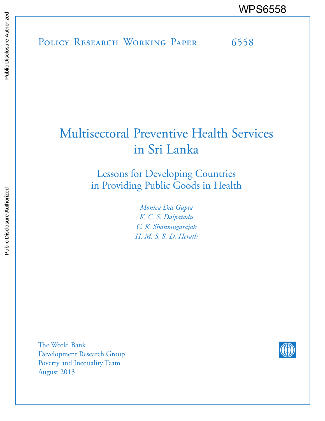POLICY RESEARCH WORKING PAPER 6558 WPS6558

# Multisectoral Preventive Health Services in Sri Lanka

Lessons for Developing Countries in Providing Public Goods in Health

> *Monica Das Gupta K. C. S. Dalpatadu C. K. Shanmugarajah H. M. S. S. D. Herath*

The World Bank Development Research Group Poverty and Inequality Team August 2013

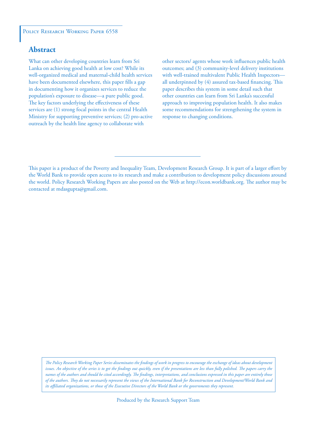#### POLICY RESEARCH WORKING PAPER 6558

# **Abstract**

What can other developing countries learn from Sri Lanka on achieving good health at low cost? While its well-organized medical and maternal-child health services have been documented elsewhere, this paper fills a gap in documenting how it organizes services to reduce the population's exposure to disease—a pure public good. The key factors underlying the effectiveness of these services are (1) strong focal points in the central Health Ministry for supporting preventive services; (2) pro-active outreach by the health line agency to collaborate with

other sectors/ agents whose work influences public health outcomes; and (3) community-level delivery institutions with well-trained multivalent Public Health Inspectors all underpinned by (4) assured tax-based financing. This paper describes this system in some detail such that other countries can learn from Sri Lanka's successful approach to improving population health. It also makes some recommendations for strengthening the system in response to changing conditions.

This paper is a product of the Poverty and Inequality Team, Development Research Group. It is part of a larger effort by the World Bank to provide open access to its research and make a contribution to development policy discussions around the world. Policy Research Working Papers are also posted on the Web at http://econ.worldbank.org. The author may be contacted at mdasgupta@gmail.com.

*The Policy Research Working Paper Series disseminates the findings of work in progress to encourage the exchange of ideas about development*  issues. An objective of the series is to get the findings out quickly, even if the presentations are less than fully polished. The papers carry the *names of the authors and should be cited accordingly. The findings, interpretations, and conclusions expressed in this paper are entirely those of the authors. They do not necessarily represent the views of the International Bank for Reconstruction and Development/World Bank and its affiliated organizations, or those of the Executive Directors of the World Bank or the governments they represent.*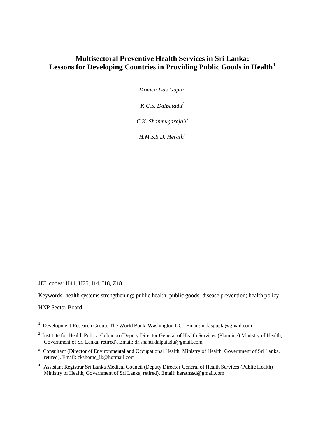# **Multisectoral Preventive Health Services in Sri Lanka: Lessons for Developing Countries in Providing Public Goods in Health[1](#page-38-0)**

*Monica Das Gupta[1](#page-2-0)*

*K.C.S. Dalpatadu[2](#page-2-1)*

*C.K. Shanmugarajah[3](#page-2-2)*

*H.M.S.S.D. Herath[4](#page-2-3)*

JEL codes: H41, H75, I14, I18, Z18

Keywords: health systems strengthening; public health; public goods; disease prevention; health policy

HNP Sector Board

<span id="page-2-0"></span> 1 Development Research Group, The World Bank, Washington DC. Email: mdasgupta@gmail.com

<span id="page-2-1"></span><sup>&</sup>lt;sup>2</sup> Institute for Health Policy, Colombo (Deputy Director General of Health Services (Planning) Ministry of Health, Government of Sri Lanka, retired). Email: dr.shanti.dalpatadu@gmail.com

<span id="page-2-2"></span><sup>&</sup>lt;sup>3</sup> Consultant (Director of Environmental and Occupational Health, Ministry of Health, Government of Sri Lanka, retired). Email: ckshome\_lk@hotmail.com

<span id="page-2-3"></span><sup>4</sup> Assistant Registrar Sri Lanka Medical Council (Deputy Director General of Health Services (Public Health) Ministry of Health, Government of Sri Lanka, retired). Email: herathssd@gmail.com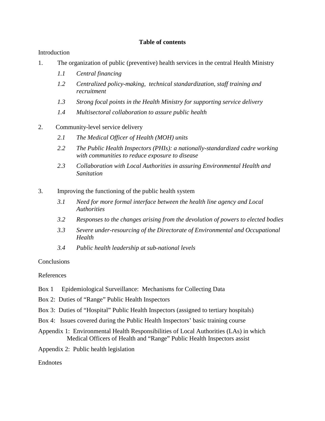## **Table of contents**

## Introduction

- 1. The organization of public (preventive) health services in the central Health Ministry
	- *1.1 Central financing*
	- *1.2 Centralized policy-making, technical standardization, staff training and recruitment*
	- *1.3 Strong focal points in the Health Ministry for supporting service delivery*
	- *1.4 Multisectoral collaboration to assure public health*
- 2. Community-level service delivery
	- *2.1 The Medical Officer of Health (MOH) units*
	- *2.2 The Public Health Inspectors (PHIs): a nationally-standardized cadre working with communities to reduce exposure to disease*
	- *2.3 Collaboration with Local Authorities in assuring Environmental Health and Sanitation*
- 3. Improving the functioning of the public health system
	- *3.1 Need for more formal interface between the health line agency and Local Authorities*
	- *3.2 Responses to the changes arising from the devolution of powers to elected bodies*
	- *3.3 Severe under-resourcing of the Directorate of Environmental and Occupational Health*
	- *3.4 Public health leadership at sub-national levels*

### **Conclusions**

#### References

- Box 1 Epidemiological Surveillance: Mechanisms for Collecting Data
- Box 2: Duties of "Range" Public Health Inspectors
- Box 3: Duties of "Hospital" Public Health Inspectors (assigned to tertiary hospitals)
- Box 4: Issues covered during the Public Health Inspectors' basic training course
- Appendix 1: Environmental Health Responsibilities of Local Authorities (LAs) in which Medical Officers of Health and "Range" Public Health Inspectors assist
- Appendix 2: Public health legislation

## Endnotes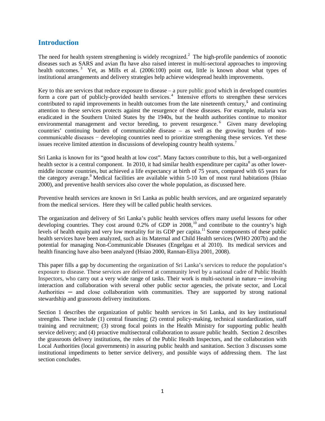# **Introduction**

The need for health system strengthening is widely recognized.<sup>[2](#page-38-1)</sup> The high-profile pandemics of zoonotic diseases such as SARS and avian flu have also raised interest in multi-sectoral approaches to improving health outcomes.<sup>[3](#page-38-2)</sup> Yet, as Mills et al. (2006:100) point out, little is known about what types of institutional arrangements and delivery strategies help achieve widespread health improvements.

Key to this are services that reduce exposure to disease – a pure public good which in developed countries form a core part of publicly-provided health services.<sup>[4](#page-38-3)</sup> Intensive efforts to strengthen these services contributed to rapid improvements in health outcomes from the late nineteenth century,<sup>[5](#page-38-4)</sup> and continuing attention to these services protects against the resurgence of these diseases. For example, malaria was eradicated in the Southern United States by the 1940s, but the health authorities continue to monitor environmental management and vector breeding, to prevent resurgence.<sup>[6](#page-38-5)</sup> Given many developing countries' continuing burden of communicable disease – as well as the growing burden of noncommunicable diseases − developing countries need to prioritize strengthening these services. Yet these issues receive limited attention in discussions of developing country health systems.<sup>[7](#page-38-6)</sup>

Sri Lanka is known for its "good health at low cost". Many factors contribute to this, but a well-organized health sector is a central component. In 2010, it had similar health expenditure per capita<sup>[8](#page-38-7)</sup> as other lowermiddle income countries, but achieved a life expectancy at birth of 75 years, compared with 65 years for the category average.<sup>[9](#page-38-8)</sup> Medical facilities are available within 5-10 km of most rural habitations (Hsiao 2000), and preventive health services also cover the whole population, as discussed here.

Preventive health services are known in Sri Lanka as public health services, and are organized separately from the medical services. Here they will be called public health services.

The organization and delivery of Sri Lanka's public health services offers many useful lessons for other developing countries. They cost around  $0.2\%$  of GDP in 2008,<sup>10</sup> and contribute to the country's high levels of health equity and very low mortality for its GDP per capita.<sup>11</sup> Some components of these public health services have been analyzed, such as its Maternal and Child Health services (WHO 2007b) and the potential for managing Non-Communicable Diseases (Engelgau et al 2010). Its medical services and health financing have also been analyzed (Hsiao 2000, Rannan-Eliya 2001, 2008).

This paper fills a gap by documenting the organization of Sri Lanka's services to reduce the population's exposure to disease. These services are delivered at community level by a national cadre of Public Health Inspectors, who carry out a very wide range of tasks. Their work is multi-sectoral in nature — involving interaction and collaboration with several other public sector agencies, the private sector, and Local Authorities  $-$  and close collaboration with communities. They are supported by strong national stewardship and grassroots delivery institutions.

Section 1 describes the organization of public health services in Sri Lanka, and its key institutional strengths. These include (1) central financing; (2) central policy-making, technical standardization, staff training and recruitment; (3) strong focal points in the Health Ministry for supporting public health service delivery; and (4) proactive multisectoral collaboration to assure public health. Section 2 describes the grassroots delivery institutions, the roles of the Public Health Inspectors, and the collaboration with Local Authorities (local governments) in assuring public health and sanitation. Section 3 discusses some institutional impediments to better service delivery, and possible ways of addressing them. The last section concludes.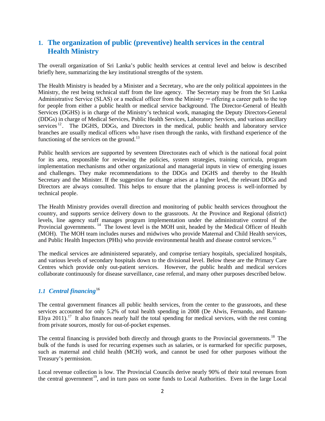# **1. The organization of public (preventive) health services in the central Health Ministry**

The overall organization of Sri Lanka's public health services at central level and below is described briefly here, summarizing the key institutional strengths of the system.

The Health Ministry is headed by a Minister and a Secretary, who are the only political appointees in the Ministry, the rest being technical staff from the line agency. The Secretary may be from the Sri Lanka Administrative Service (SLAS) or a medical officer from the Ministry — offering a career path to the top for people from either a public health or medical service background. The Director-General of Health Services (DGHS) is in charge of the Ministry's technical work, managing the Deputy Directors-General (DDGs) in charge of Medical Services, Public Health Services, Laboratory Services, and various ancillary services  $12$ . The DGHS, DDGs, and Directors in the medical, public health and laboratory service branches are usually medical officers who have risen through the ranks, with firsthand experience of the functioning of the services on the ground.<sup>[13](#page-38-12)</sup>

Public health services are supported by seventeen Directorates each of which is the national focal point for its area, responsible for reviewing the policies, system strategies, training curricula, program implementation mechanisms and other organizational and managerial inputs in view of emerging issues and challenges. They make recommendations to the DDGs and DGHS and thereby to the Health Secretary and the Minister. If the suggestion for change arises at a higher level, the relevant DDGs and Directors are always consulted. This helps to ensure that the planning process is well-informed by technical people.

The Health Ministry provides overall direction and monitoring of public health services throughout the country, and supports service delivery down to the grassroots. At the Province and Regional (district) levels, line agency staff manages program implementation under the administrative control of the Provincial governments.<sup>[14](#page-38-13)</sup> The lowest level is the MOH unit, headed by the Medical Officer of Health (MOH). The MOH team includes nurses and midwives who provide Maternal and Child Health services, and Public Health Inspectors (PHIs) who provide environmental health and disease control services.<sup>[15](#page-38-14)</sup>

The medical services are administered separately, and comprise tertiary hospitals, specialized hospitals, and various levels of secondary hospitals down to the divisional level. Below these are the Primary Care Centres which provide only out-patient services. However, the public health and medical services collaborate continuously for disease surveillance, case referral, and many other purposes described below.

## *1.1 Central financing*[16](#page-38-15)

The central government finances all public health services, from the center to the grassroots, and these services accounted for only 5.2% of total health spending in 2008 (De Alwis, Fernando, and Rannan-Eliya 2011).<sup>17</sup> It also finances nearly half the total spending for medical services, with the rest coming from private sources, mostly for out-of-pocket expenses.

The central financing is provided both directly and through grants to the Provincial governments.<sup>[18](#page-38-17)</sup> The bulk of the funds is used for recurring expenses such as salaries, or is earmarked for specific purposes, such as maternal and child health (MCH) work, and cannot be used for other purposes without the Treasury's permission.

Local revenue collection is low. The Provincial Councils derive nearly 90% of their total revenues from the central government<sup>19</sup>, and in turn pass on some funds to Local Authorities. Even in the large Local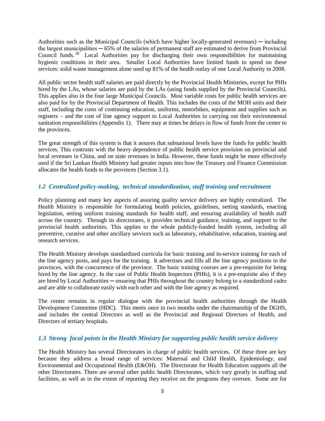Authorities such as the Municipal Councils (which have higher locally-generated revenues) — including the largest municipalities  $-65\%$  of the salaries of permanent staff are estimated to derive from Provincial Council funds. [20](#page-38-19) Local Authorities pay for discharging their own responsibilities for maintaining hygienic conditions in their area. Smaller Local Authorities have limited funds to spend on these services: solid waste management alone used up 81% of the health outlay of one Local Authority in 2008.

All public sector health staff salaries are paid directly by the Provincial Health Ministries, except for PHIs hired by the LAs, whose salaries are paid by the LAs (using funds supplied by the Provincial Councils). This applies also in the four large Municipal Councils. Most variable costs for public health services are also paid for by the Provincial Department of Health. This includes the costs of the MOH units and their staff, including the costs of continuing education, uniforms, motorbikes, equipment and supplies such as registers – and the cost of line agency support to Local Authorities in carrying out their environmental sanitation responsibilities (Appendix 1). There may at times be delays in flow of funds from the center to the provinces.

The great strength of this system is that it assures that subnational levels have the funds for public health services. This contrasts with the heavy dependence of public health service provision on provincial and local revenues in China, and on state revenues in India. However, these funds might be more effectively used if the Sri Lankan Health Ministry had greater inputs into how the Treasury and Finance Commission allocates the health funds to the provinces (Section 3.1).

#### *1.2 Centralized policy-making, technical standardization, staff training and recruitment*

Policy planning and many key aspects of assuring quality service delivery are highly centralized. The Health Ministry is responsible for formulating health policies, guidelines, setting standards, enacting legislation, setting uniform training standards for health staff, and ensuring availability of health staff across the country. Through its directorates, it provides technical guidance, training, and support to the provincial health authorities. This applies to the whole publicly-funded health system, including all preventive, curative and other ancillary services such as laboratory, rehabilitative, education, training and research services.

The Health Ministry develops standardized curricula for basic training and in-service training for each of the line agency posts, and pays for the training. It advertises and fills all the line agency positions in the provinces, with the concurrence of the province. The basic training courses are a pre-requisite for being hired by the line agency. In the case of Public Health Inspectors (PHIs), it is a pre-requisite also if they are hired by Local Authorities — ensuring that PHIs throughout the country belong to a standardized cadre and are able to collaborate easily with each other and with the line agency as required.

The center remains in regular dialogue with the provincial health authorities through the Health Development Committee (HDC). This meets once in two months under the chairmanship of the DGHS, and includes the central Directors as well as the Provincial and Regional Directors of Health, and Directors of tertiary hospitals.

## *1.3 Strong focal points in the Health Ministry for supporting public health service delivery*

The Health Ministry has several Directorates in charge of public health services. Of these three are key because they address a broad range of services: Maternal and Child Health, Epidemiology, and Environmental and Occupational Health (E&OH). The Directorate for Health Education supports all the other Directorates. There are several other public health Directorates, which vary greatly in staffing and facilities, as well as in the extent of reporting they receive on the programs they oversee. Some are for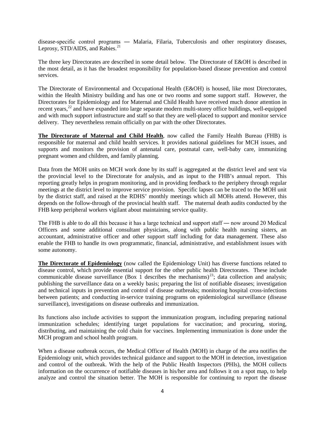disease-specific control programs ― Malaria, Filaria, Tuberculosis and other respiratory diseases, Leprosy, STD/AIDS, and Rabies.<sup>[21](#page-38-20)</sup>

The three key Directorates are described in some detail below. The Directorate of E&OH is described in the most detail, as it has the broadest responsibility for population-based disease prevention and control services.

The Directorate of Environmental and Occupational Health (E&OH) is housed, like most Directorates, within the Health Ministry building and has one or two rooms and some support staff. However, the Directorates for Epidemiology and for Maternal and Child Health have received much donor attention in recent years,<sup>[22](#page-38-21)</sup> and have expanded into large separate modern multi-storey office buildings, well-equipped and with much support infrastructure and staff so that they are well-placed to support and monitor service delivery. They nevertheless remain officially on par with the other Directorates.

**The Directorate of Maternal and Child Health**, now called the Family Health Bureau (FHB) is responsible for maternal and child health services. It provides national guidelines for MCH issues, and supports and monitors the provision of antenatal care, postnatal care, well-baby care, immunizing pregnant women and children, and family planning.

Data from the MOH units on MCH work done by its staff is aggregated at the district level and sent via the provincial level to the Directorate for analysis, and as input to the FHB's annual report. This reporting greatly helps in program monitoring, and in providing feedback to the periphery through regular meetings at the district level to improve service provision. Specific lapses can be traced to the MOH unit by the district staff, and raised at the RDHS' monthly meetings which all MOHs attend. However, this depends on the follow-through of the provincial health staff. The maternal death audits conducted by the FHB keep peripheral workers vigilant about maintaining service quality.

The FHB is able to do all this because it has a large technical and support staff — now around 20 Medical Officers and some additional consultant physicians, along with public health nursing sisters, an accountant, administrative officer and other support staff including for data management. These also enable the FHB to handle its own programmatic, financial, administrative, and establishment issues with some autonomy.

**The Directorate of Epidemiology** (now called the Epidemiology Unit) has diverse functions related to disease control, which provide essential support for the other public health Directorates. These include communicable disease surveillance (Box 1 describes the mechanisms)<sup>[23](#page-38-22)</sup>; data collection and analysis; publishing the surveillance data on a weekly basis; preparing the list of notifiable diseases; investigation and technical inputs in prevention and control of disease outbreaks; monitoring hospital cross-infections between patients; and conducting in-service training programs on epidemiological surveillance (disease surveillance), investigations on disease outbreaks and immunization.

Its functions also include activities to support the immunization program, including preparing national immunization schedules; identifying target populations for vaccination; and procuring, storing, distributing, and maintaining the cold chain for vaccines. Implementing immunization is done under the MCH program and school health program.

When a disease outbreak occurs, the Medical Officer of Health (MOH) in charge of the area notifies the Epidemiology unit, which provides technical guidance and support to the MOH in detection, investigation and control of the outbreak. With the help of the Public Health Inspectors (PHIs), the MOH collects information on the occurrence of notifiable diseases in his/her area and follows it on a spot map, to help analyze and control the situation better. The MOH is responsible for continuing to report the disease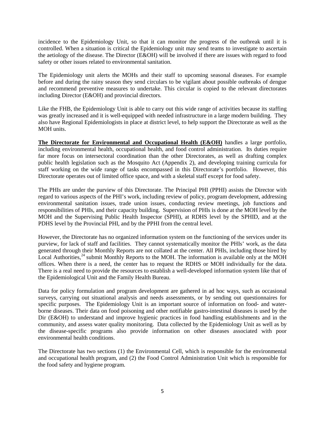incidence to the Epidemiology Unit, so that it can monitor the progress of the outbreak until it is controlled. When a situation is critical the Epidemiology unit may send teams to investigate to ascertain the aetiology of the disease. The Director (E&OH) will be involved if there are issues with regard to food safety or other issues related to environmental sanitation.

The Epidemiology unit alerts the MOHs and their staff to upcoming seasonal diseases. For example before and during the rainy season they send circulars to be vigilant about possible outbreaks of dengue and recommend preventive measures to undertake. This circular is copied to the relevant directorates including Director (E&OH) and provincial directors.

Like the FHB, the Epidemiology Unit is able to carry out this wide range of activities because its staffing was greatly increased and it is well-equipped with needed infrastructure in a large modern building. They also have Regional Epidemiologists in place at district level, to help support the Directorate as well as the MOH units.

**The Directorate for Environmental and Occupational Health (E&OH)** handles a large portfolio, including environmental health, occupational health, and food control administration. Its duties require far more focus on intersectoral coordination than the other Directorates, as well as drafting complex public health legislation such as the Mosquito Act (Appendix 2), and developing training curricula for staff working on the wide range of tasks encompassed in this Directorate's portfolio.However, this Directorate operates out of limited office space, and with a skeletal staff except for food safety.

The PHIs are under the purview of this Directorate. The Principal PHI (PPHI) assists the Director with regard to various aspects of the PHI's work, including review of policy, program development, addressing environmental sanitation issues, trade union issues, conducting review meetings, job functions and responsibilities of PHIs, and their capacity building. Supervision of PHIs is done at the MOH level by the MOH and the Supervising Public Health Inspector (SPHI), at RDHS level by the SPHID, and at the PDHS level by the Provincial PHI, and by the PPHI from the central level.

However, the Directorate has no organized information system on the functioning of the services under its purview, for lack of staff and facilities. They cannot systematically monitor the PHIs' work, as the data generated through their Monthly Reports are not collated at the center. All PHIs, including those hired by Local Authorities,<sup>[24](#page-38-23)</sup> submit Monthly Reports to the MOH. The information is available only at the MOH offices. When there is a need, the center has to request the RDHS or MOH individually for the data. There is a real need to provide the resources to establish a well-developed information system like that of the Epidemiological Unit and the Family Health Bureau.

Data for policy formulation and program development are gathered in ad hoc ways, such as occasional surveys, carrying out situational analysis and needs assessments, or by sending out questionnaires for specific purposes. The Epidemiology Unit is an important source of information on food- and waterborne diseases. Their data on food poisoning and other notifiable gastro-intestinal diseases is used by the Dir (E&OH) to understand and improve hygienic practices in food handling establishments and in the community, and assess water quality monitoring. Data collected by the Epidemiology Unit as well as by the disease-specific programs also provide information on other diseases associated with poor environmental health conditions.

The Directorate has two sections (1) the Environmental Cell, which is responsible for the environmental and occupational health program, and (2) the Food Control Administration Unit which is responsible for the food safety and hygiene program.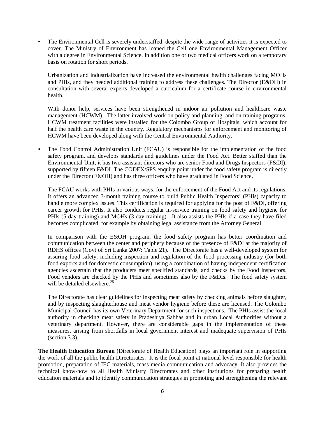• The Environmental Cell is severely understaffed, despite the wide range of activities it is expected to cover. The Ministry of Environment has loaned the Cell one Environmental Management Officer with a degree in Environmental Science. In addition one or two medical officers work on a temporary basis on rotation for short periods.

Urbanization and industrialization have increased the environmental health challenges facing MOHs and PHIs, and they needed additional training to address these challenges. The Director (E&OH) in consultation with several experts developed a curriculum for a certificate course in environmental health.

With donor help, services have been strengthened in indoor air pollution and healthcare waste management (HCWM). The latter involved work on policy and planning, and on training programs. HCWM treatment facilities were installed for the Colombo Group of Hospitals, which account for half the health care waste in the country. Regulatory mechanisms for enforcement and monitoring of HCWM have been developed along with the Central Environmental Authority.

• The Food Control Administration Unit (FCAU) is responsible for the implementation of the food safety program, and develops standards and guidelines under the Food Act. Better staffed than the Environmental Unit, it has two assistant directors who are senior Food and Drugs Inspectors (F&DI), supported by fifteen F&DI. The CODEX/SPS enquiry point under the food safety program is directly under the Director (E&OH) and has three officers who have graduated in Food Science.

The FCAU works with PHIs in various ways, for the enforcement of the Food Act and its regulations. It offers an advanced 3-month training course to build Public Health Inspectors' (PHIs) capacity to handle more complex issues. This certification is required for applying for the post of F&DI, offering career growth for PHIs. It also conducts regular in-service training on food safety and hygiene for PHIs (5-day training) and MOHs (3-day training). It also assists the PHIs if a case they have filed becomes complicated, for example by obtaining legal assistance from the Attorney General.

In comparison with the E&OH program, the food safety program has better coordination and communication between the center and periphery because of the presence of F&DI at the majority of RDHS offices (Govt of Sri Lanka 2007: Table 21). The Directorate has a well-developed system for assuring food safety, including inspection and regulation of the food processing industry (for both food exports and for domestic consumption), using a combination of having independent certification agencies ascertain that the producers meet specified standards, and checks by the Food Inspectors. Food vendors are checked by the PHIs and sometimes also by the F&DIs. The food safety system will be detailed elsewhere.  $25$ 

The Directorate has clear guidelines for inspecting meat safety by checking animals before slaughter, and by inspecting slaughterhouse and meat vendor hygiene before these are licensed. The Colombo Municipal Council has its own Veterinary Department for such inspections. The PHIs assist the local authority in checking meat safety in Pradeshiya Sabhas and in urban Local Authorities without a veterinary department. However, there are considerable gaps in the implementation of these measures, arising from shortfalls in local government interest and inadequate supervision of PHIs (section 3.3).

**The Health Education Bureau** (Directorate of Health Education) plays an important role in supporting the work of all the public health Directorates. It is the focal point at national level responsible for health promotion, preparation of IEC materials, mass media communication and advocacy. It also provides the technical know-how to all Health Ministry Directorates and other institutions for preparing health education materials and to identify communication strategies in promoting and strengthening the relevant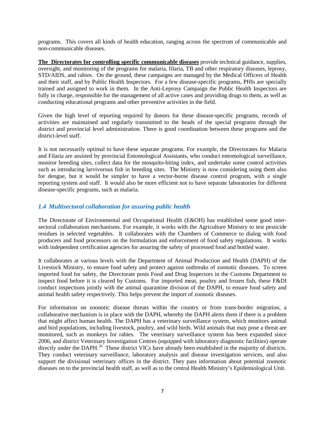programs. This covers all kinds of health education, ranging across the spectrum of communicable and non-communicable diseases.

**The Directorates for controlling specific communicable diseases** provide technical guidance, supplies, oversight, and monitoring of the programs for malaria, filaria, TB and other respiratory diseases, leprosy, STD/AIDS, and rabies. On the ground, these campaigns are managed by the Medical Officers of Health and their staff, and by Public Health Inspectors. For a few disease-specific programs, PHIs are specially trained and assigned to work in them. In the Anti-Leprosy Campaign the Public Health Inspectors are fully in charge, responsible for the management of all active cases and providing drugs to them, as well as conducting educational programs and other preventive activities in the field.

Given the high level of reporting required by donors for these disease-specific programs, records of activities are maintained and regularly transmitted to the heads of the special programs through the district and provincial level administration. There is good coordination between these programs and the district-level staff.

It is not necessarily optimal to have these separate programs. For example, the Directorates for Malaria and Filaria are assisted by provincial Entomological Assistants, who conduct entomological surveillance, monitor breeding sites, collect data for the mosquito-biting index, and undertake some control activities such as introducing larvivorous fish in breeding sites. The Ministry is now considering using them also for dengue, but it would be simpler to have a vector-borne disease control program, with a single reporting system and staff. It would also be more efficient not to have separate laboratories for different disease-specific programs, such as malaria.

#### *1.4 Multisectoral collaboration for assuring public health*

The Directorate of Environmental and Occupational Health (E&OH) has established some good intersectoral collaboration mechanisms. For example, it works with the Agriculture Ministry to test pesticide residues in selected vegetables. It collaborates with the Chambers of Commerce to dialog with food producers and food processors on the formulation and enforcement of food safety regulations. It works with independent certification agencies for assuring the safety of processed food and bottled water.

It collaborates at various levels with the Department of Animal Production and Health (DAPH) of the Livestock Ministry, to ensure food safety and protect against outbreaks of zoonotic diseases. To screen imported food for safety, the Directorate posts Food and Drug Inspectors in the Customs Department to inspect food before it is cleared by Customs. For imported meat, poultry and frozen fish, these F&DI conduct inspections jointly with the animal quarantine division of the DAPH, to ensure food safety and animal health safety respectively. This helps prevent the import of zoonotic diseases.

For information on zoonotic disease threats within the country or from trans-border migration, a collaborative mechanism is in place with the DAPH, whereby the DAPH alerts them if there is a problem that might affect human health. The DAPH has a veterinary surveillance system, which monitors animal and bird populations, including livestock, poultry, and wild birds. Wild animals that may pose a threat are monitored, such as monkeys for rabies. The veterinary surveillance system has been expanded since 2006, and district Veterinary Investigation Centres (equipped with laboratory diagnostic facilities) operate directly under the DAPH.<sup>[26](#page-38-25)</sup> These district VICs have already been established in the majority of districts. They conduct veterinary surveillance, laboratory analysis and disease investigation services, and also support the divisional veterinary offices in the district. They pass information about potential zoonotic diseases on to the provincial health staff, as well as to the central Health Ministry's Epidemiological Unit.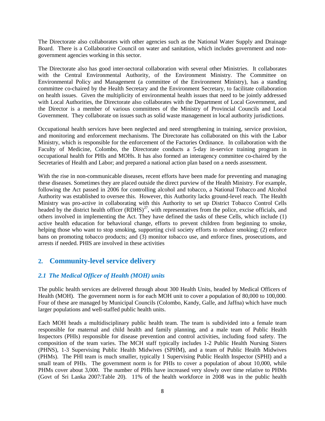The Directorate also collaborates with other agencies such as the National Water Supply and Drainage Board. There is a Collaborative Council on water and sanitation, which includes government and nongovernment agencies working in this sector.

The Directorate also has good inter-sectoral collaboration with several other Ministries. It collaborates with the Central Environmental Authority, of the Environment Ministry. The Committee on Environmental Policy and Management (a committee of the Environment Ministry), has a standing committee co-chaired by the Health Secretary and the Environment Secretary, to facilitate collaboration on health issues. Given the multiplicity of environmental health issues that need to be jointly addressed with Local Authorities, the Directorate also collaborates with the Department of Local Government, and the Director is a member of various committees of the Ministry of Provincial Councils and Local Government. They collaborate on issues such as solid waste management in local authority jurisdictions.

Occupational health services have been neglected and need strengthening in training, service provision, and monitoring and enforcement mechanisms. The Directorate has collaborated on this with the Labor Ministry, which is responsible for the enforcement of the Factories Ordinance. In collaboration with the Faculty of Medicine, Colombo, the Directorate conducts a 5-day in-service training program in occupational health for PHIs and MOHs. It has also formed an interagency committee co-chaired by the Secretaries of Health and Labor; and prepared a national action plan based on a needs assessment.

With the rise in non-communicable diseases, recent efforts have been made for preventing and managing these diseases. Sometimes they are placed outside the direct purview of the Health Ministry. For example, following the Act passed in 2006 for controlling alcohol and tobacco, a National Tobacco and Alcohol Authority was established to oversee this. However, this Authority lacks ground-level reach. The Health Ministry was pro-active in collaborating with this Authority to set up District Tobacco Control Cells headed by the district health officer  $(RDHS)^{27}$  $(RDHS)^{27}$  $(RDHS)^{27}$ , with representatives from the police, excise officials, and others involved in implementing the Act. They have defined the tasks of these Cells, which include (1) active health education for behavioral change, efforts to prevent children from beginning to smoke, helping those who want to stop smoking, supporting civil society efforts to reduce smoking; (2) enforce bans on promoting tobacco products; and (3) monitor tobacco use, and enforce fines, prosecutions, and arrests if needed. PHIS are involved in these activities

# **2. Community-level service delivery**

## *2.1 The Medical Officer of Health (MOH) units*

The public health services are delivered through about 300 Health Units, headed by Medical Officers of Health (MOH). The government norm is for each MOH unit to cover a population of 80,000 to 100,000. Four of these are managed by Municipal Councils (Colombo, Kandy, Galle, and Jaffna) which have much larger populations and well-staffed public health units.

Each MOH heads a multidisciplinary public health team. The team is subdivided into a female team responsible for maternal and child health and family planning, and a male team of Public Health Inspectors (PHIs) responsible for disease prevention and control activities, including food safety. The composition of the team varies. The MCH staff typically includes 1-2 Public Health Nursing Sisters (PHNS), 1-3 Supervising Public Health Midwives (SPHM), and a team of Public Health Midwives (PHMs). The PHI team is much smaller, typically 1 Supervising Public Health Inspector (SPHI) and a small team of PHIs. The government norm is for PHIs to cover a population of about 10,000, while PHMs cover about 3,000. The number of PHIs have increased very slowly over time relative to PHMs (Govt of Sri Lanka 2007:Table 20). 11% of the health workforce in 2008 was in the public health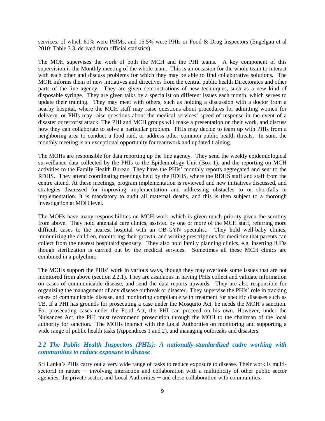services, of which 61% were PHMs, and 16.5% were PHIs or Food & Drug Inspectors (Engelgau et al 2010: Table 3.3, derived from official statistics).

The MOH supervises the work of both the MCH and the PHI teams. A key component of this supervision is the Monthly meeting of the whole team. This is an occasion for the whole team to interact with each other and discuss problems for which they may be able to find collaborative solutions. The MOH informs them of new initiatives and directives from the central public health Directorates and other parts of the line agency. They are given demonstrations of new techniques, such as a new kind of disposable syringe. They are given talks by a specialist on different issues each month, which serves to update their training. They may meet with others, such as holding a discussion with a doctor from a nearby hospital, where the MCH staff may raise questions about procedures for admitting women for delivery, or PHIs may raise questions about the medical services' speed of response in the event of a disaster or terrorist attack. The PHI and MCH groups will make a presentation on their work, and discuss how they can collaborate to solve a particular problem. PHIs may decide to team up with PHIs from a neighboring area to conduct a food raid, or address other common public health threats. In sum, the monthly meeting is an exceptional opportunity for teamwork and updated training.

The MOHs are responsible for data reporting up the line agency. They send the weekly epidemiological surveillance data collected by the PHIs to the Epidemiology Unit (Box 1), and the reporting on MCH activities to the Family Health Bureau. They have the PHIs' monthly reports aggregated and sent to the RDHS. They attend coordinating meetings held by the RDHS, where the RDHS staff and staff from the centre attend. At these meetings, program implementation is reviewed and new initiatives discussed, and strategies discussed for improving implementation and addressing obstacles to or shortfalls in implementation. It is mandatory to audit all maternal deaths, and this is then subject to a thorough investigation at MOH level.

The MOHs have many responsibilities on MCH work, which is given much priority given the scrutiny from above. They hold antenatal care clinics, assisted by one or more of the MCH staff, referring more difficult cases to the nearest hospital with an OB-GYN specialist. They hold well-baby clinics, immunizing the children, monitoring their growth, and writing prescriptions for medicine that parents can collect from the nearest hospital/dispensary. They also hold family planning clinics, e.g. inserting IUDs though sterilization is carried out by the medical services. Sometimes all these MCH clinics are combined in a polyclinic.

The MOHs support the PHIs' work in various ways, though they may overlook some issues that are not monitored from above (section 2.2.1). They are assiduous in having PHIs collect and validate information on cases of communicable disease, and send the data reports upwards. They are also responsible for organizing the management of any disease outbreak or disaster. They supervise the PHIs' role in tracking cases of communicable disease, and monitoring compliance with treatment for specific diseases such as TB. If a PHI has grounds for prosecuting a case under the Mosquito Act, he needs the MOH's sanction. For prosecuting cases under the Food Act, the PHI can proceed on his own. However, under the Nuisances Act, the PHI must recommend prosecution through the MOH to the chairman of the local authority for sanction. The MOHs interact with the Local Authorities on monitoring and supporting a wide range of public health tasks (Appendices 1 and 2), and managing outbreaks and disasters.

## *2.2 The Public Health Inspectors (PHIs): A nationally-standardized cadre working with communities to reduce exposure to disease*

Sri Lanka's PHIs carry out a very wide range of tasks to reduce exposure to disease. Their work is multisectoral in nature — involving interaction and collaboration with a multiplicity of other public sector agencies, the private sector, and Local Authorities — and close collaboration with communities.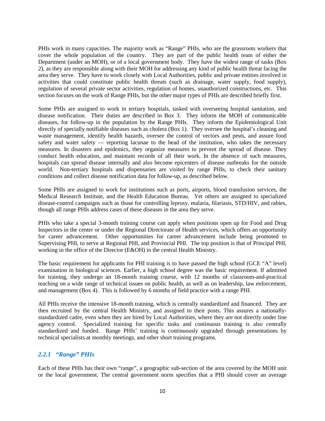PHIs work in many capacities. The majority work as "Range" PHIs, who are the grassroots workers that cover the whole population of the country. They are part of the public health team of either the Department (under an MOH), or of a local government body. They have the widest range of tasks (Box 2), as they are responsible along with their MOH for addressing any kind of public health threat facing the area they serve. They have to work closely with Local Authorities, public and private entities involved in activities that could constitute public health threats (such as drainage, water supply, food supply), regulation of several private sector activities, regulation of homes, unauthorized constructions, etc. This section focuses on the work of Range PHIs, but the other major types of PHIs are described briefly first.

Some PHIs are assigned to work in tertiary hospitals, tasked with overseeing hospital sanitation, and disease notification. Their duties are described in Box 3. They inform the MOH of communicable diseases, for follow-up in the population by the Range PHIs. They inform the Epidemiological Unit directly of specially notifiable diseases such as cholera (Box 1). They oversee the hospital's cleaning and waste management, identify health hazards, oversee the control of vectors and pests, and assure food safety and water safety — reporting lacunae to the head of the institution, who takes the necessary measures. In disasters and epidemics, they organize measures to prevent the spread of disease. They conduct health education, and maintain records of all their work. In the absence of such measures, hospitals can spread disease internally and also become epicenters of disease outbreaks for the outside world. Non-tertiary hospitals and dispensaries are visited by range PHIs, to check their sanitary conditions and collect disease notification data for follow-up, as described below.

Some PHIs are assigned to work for institutions such as ports, airports, blood transfusion services, the Medical Research Institute, and the Health Education Bureau. Yet others are assigned to specialized disease-control campaigns such as those for controlling leprosy, malaria, filariasis, STD/HIV, and rabies, though all range PHIs address cases of these diseases in the area they serve.

PHIs who take a special 3-month training course can apply when positions open up for Food and Drug Inspectors in the center or under the Regional Directorate of Health services, which offers an opportunity for career advancement. Other opportunities for career advancement include being promoted to Supervising PHI, to serve at Regional PHI, and Provincial PHI. The top position is that of Principal PHI, working in the office of the Director (E&OH) in the central Health Ministry.

The basic requirement for applicants for PHI training is to have passed the high school (GCE "A" level) examination in biological sciences. Earlier, a high school degree was the basic requirement. If admitted for training, they undergo an 18-month training course, with 12 months of classroom-and-practical teaching on a wide range of technical issues on public health, as well as on leadership, law enforcement, and management (Box 4). This is followed by 6 months of field practice with a range PHI.

All PHIs receive the intensive 18-month training, which is centrally standardized and financed. They are then recruited by the central Health Ministry, and assigned to their posts. This assures a nationallystandardized cadre, even when they are hired by Local Authorities, where they are not directly under line agency control. Specialized training for specific tasks and continuous training is also centrally standardized and funded. Range PHIs' training is continuously upgraded through presentations by technical specialists at monthly meetings, and other short training programs.

#### *2.2.1 "Range" PHIs*

Each of these PHIs has their own "range", a geographic sub-section of the area covered by the MOH unit or the local government. The central government norm specifies that a PHI should cover an average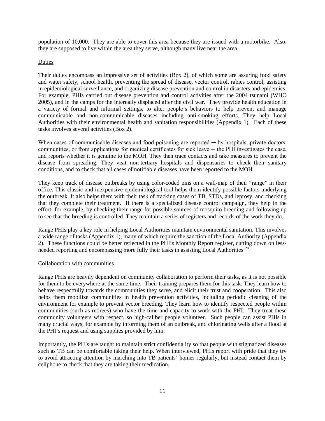population of 10,000. They are able to cover this area because they are issued with a motorbike. Also, they are supposed to live within the area they serve, although many live near the area.

#### Duties

Their duties encompass an impressive set of activities (Box 2), of which some are assuring food safety and water safety, school health, preventing the spread of disease, vector control, rabies control, assisting in epidemiological surveillance, and organizing disease prevention and control in disasters and epidemics. For example, PHIs carried out disease prevention and control activities after the 2004 tsunami (WHO 2005), and in the camps for the internally displaced after the civil war. They provide health education in a variety of formal and informal settings, to alter people's behaviors to help prevent and manage communicable and non-communicable diseases including anti-smoking efforts. They help Local Authorities with their environmental health and sanitation responsibilities (Appendix 1). Each of these tasks involves several activities (Box 2).

When cases of communicable diseases and food poisoning are reported  $-$  by hospitals, private doctors, communities, or from applications for medical certificates for sick leave — the PHI investigates the case, and reports whether it is genuine to the MOH. They then trace contacts and take measures to prevent the disease from spreading. They visit non-tertiary hospitals and dispensaries to check their sanitary conditions, and to check that all cases of notifiable diseases have been reported to the MOH.

They keep track of disease outbreaks by using color-coded pins on a wall-map of their "range" in their office. This classic and inexpensive epidemiological tool helps them identify possible factors underlying the outbreak. It also helps them with their task of tracking cases of TB, STDs, and leprosy, and checking that they complete their treatment. If there is a specialized disease control campaign, they help in the effort: for example, by checking their range for possible sources of mosquito breeding and following up to see that the breeding is controlled. They maintain a series of registers and records of the work they do.

Range PHIs play a key role in helping Local Authorities maintain environmental sanitation. This involves a wide range of tasks (Appendix 1), many of which require the sanction of the Local Authority (Appendix 2). These functions could be better reflected in the PHI's Monthly Report register, cutting down on lessneeded reporting and encompassing more fully their tasks in assisting Local Authorities.<sup>28</sup>

#### Collaboration with communities

Range PHIs are heavily dependent on community collaboration to perform their tasks, as it is not possible for them to be everywhere at the same time. Their training prepares them for this task. They learn how to behave respectfully towards the communities they serve, and elicit their trust and cooperation. This also helps them mobilize communities in health prevention activities, including periodic cleaning of the environment for example to prevent vector breeding. They learn how to identify respected people within communities (such as retirees) who have the time and capacity to work with the PHI. They treat these community volunteers with respect, so high-caliber people volunteer. Such people can assist PHIs in many crucial ways, for example by informing them of an outbreak, and chlorinating wells after a flood at the PHI's request and using supplies provided by him.

Importantly, the PHIs are taught to maintain strict confidentiality so that people with stigmatized diseases such as TB can be comfortable taking their help. When interviewed, PHIs report with pride that they try to avoid attracting attention by marching into TB patients' homes regularly, but instead contact them by cellphone to check that they are taking their medication.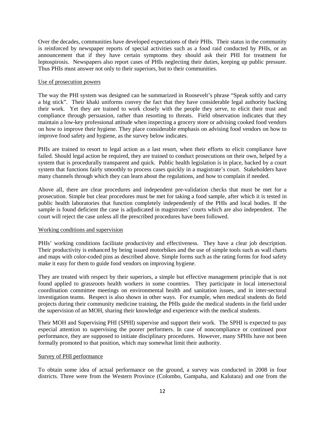Over the decades, communities have developed expectations of their PHIs. Their status in the community is reinforced by newspaper reports of special activities such as a food raid conducted by PHIs, or an announcement that if they have certain symptoms they should ask their PHI for treatment for leptospirosis. Newspapers also report cases of PHIs neglecting their duties, keeping up public pressure. Thus PHIs must answer not only to their superiors, but to their communities.

#### Use of prosecution powers

The way the PHI system was designed can be summarized in Roosevelt's phrase "Speak softly and carry a big stick". Their khaki uniforms convey the fact that they have considerable legal authority backing their work. Yet they are trained to work closely with the people they serve, to elicit their trust and compliance through persuasion, rather than resorting to threats. Field observation indicates that they maintain a low-key professional attitude when inspecting a grocery store or advising cooked food vendors on how to improve their hygiene. They place considerable emphasis on advising food vendors on how to improve food safety and hygiene, as the survey below indicates.

PHIs are trained to resort to legal action as a last resort, when their efforts to elicit compliance have failed. Should legal action be required, they are trained to conduct prosecutions on their own, helped by a system that is procedurally transparent and quick. Public health legislation is in place, backed by a court system that functions fairly smoothly to process cases quickly in a magistrate's court. Stakeholders have many channels through which they can learn about the regulations, and how to complain if needed.

Above all, there are clear procedures and independent pre-validation checks that must be met for a prosecution. Simple but clear procedures must be met for taking a food sample, after which it is tested in public health laboratories that function completely independently of the PHIs and local bodies. If the sample is found deficient the case is adjudicated in magistrates' courts which are also independent. The court will reject the case unless all the prescribed procedures have been followed.

#### Working conditions and supervision

PHIs' working conditions facilitate productivity and effectiveness. They have a clear job description. Their productivity is enhanced by being issued motorbikes and the use of simple tools such as wall charts and maps with color-coded pins as described above. Simple forms such as the rating forms for food safety make it easy for them to guide food vendors on improving hygiene.

They are treated with respect by their superiors, a simple but effective management principle that is not found applied to grassroots health workers in some countries. They participate in local intersectoral coordination committee meetings on environmental health and sanitation issues, and in inter-sectoral investigation teams. Respect is also shown in other ways. For example, when medical students do field projects during their community medicine training, the PHIs guide the medical students in the field under the supervision of an MOH, sharing their knowledge and experience with the medical students.

Their MOH and Supervising PHI (SPHI) supervise and support their work. The SPHI is expected to pay especial attention to supervising the poorer performers. In case of noncompliance or continued poor performance, they are supposed to initiate disciplinary procedures. However, many SPHIs have not been formally promoted to that position, which may somewhat limit their authority.

#### Survey of PHI performance

To obtain some idea of actual performance on the ground, a survey was conducted in 2008 in four districts. Three were from the Western Province (Colombo, Gampaha, and Kalutara) and one from the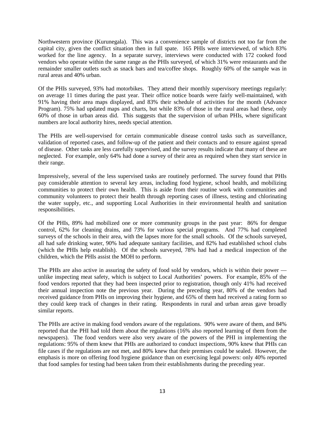Northwestern province (Kurunegala). This was a convenience sample of districts not too far from the capital city, given the conflict situation then in full spate. 165 PHIs were interviewed, of which 83% worked for the line agency. In a separate survey, interviews were conducted with 172 cooked food vendors who operate within the same range as the PHIs surveyed, of which 31% were restaurants and the remainder smaller outlets such as snack bars and tea/coffee shops. Roughly 60% of the sample was in rural areas and 40% urban.

Of the PHIs surveyed, 93% had motorbikes. They attend their monthly supervisory meetings regularly: on average 11 times during the past year. Their office notice boards were fairly well-maintained, with 91% having their area maps displayed, and 83% their schedule of activities for the month (Advance Program). 75% had updated maps and charts, but while 83% of those in the rural areas had these, only 60% of those in urban areas did. This suggests that the supervision of urban PHIs, where significant numbers are local authority hires, needs special attention.

The PHIs are well-supervised for certain communicable disease control tasks such as surveillance, validation of reported cases, and follow-up of the patient and their contacts and to ensure against spread of disease. Other tasks are less carefully supervised, and the survey results indicate that many of these are neglected. For example, only 64% had done a survey of their area as required when they start service in their range.

Impressively, several of the less supervised tasks are routinely performed. The survey found that PHIs pay considerable attention to several key areas, including food hygiene, school health, and mobilizing communities to protect their own health. This is aside from their routine work with communities and community volunteers to protect their health through reporting cases of illness, testing and chlorinating the water supply, etc., and supporting Local Authorities in their environmental health and sanitation responsibilities.

Of the PHIs, 89% had mobilized one or more community groups in the past year: 86% for dengue control, 62% for cleaning drains, and 73% for various special programs. And 77% had completed surveys of the schools in their area, with the lapses more for the small schools. Of the schools surveyed, all had safe drinking water, 90% had adequate sanitary facilities, and 82% had established school clubs (which the PHIs help establish). Of the schools surveyed, 78% had had a medical inspection of the children, which the PHIs assist the MOH to perform.

The PHIs are also active in assuring the safety of food sold by vendors, which is within their power unlike inspecting meat safety, which is subject to Local Authorities' powers. For example, 85% of the food vendors reported that they had been inspected prior to registration, though only 41% had received their annual inspection note the previous year. During the preceding year, 80% of the vendors had received guidance from PHIs on improving their hygiene, and 65% of them had received a rating form so they could keep track of changes in their rating. Respondents in rural and urban areas gave broadly similar reports.

The PHIs are active in making food vendors aware of the regulations. 90% were aware of them, and 84% reported that the PHI had told them about the regulations (16% also reported learning of them from the newspapers). The food vendors were also very aware of the powers of the PHI in implementing the regulations: 95% of them knew that PHIs are authorized to conduct inspections, 90% knew that PHIs can file cases if the regulations are not met, and 80% knew that their premises could be sealed. However, the emphasis is more on offering food hygiene guidance than on exercising legal powers: only 40% reported that food samples for testing had been taken from their establishments during the preceding year.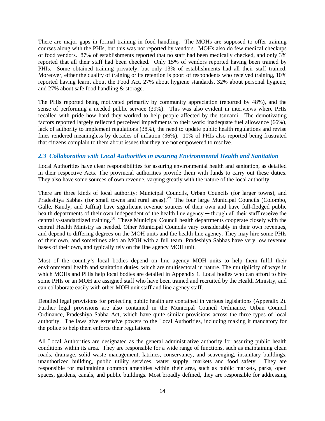There are major gaps in formal training in food handling. The MOHs are supposed to offer training courses along with the PHIs, but this was not reported by vendors. MOHs also do few medical checkups of food vendors. 87% of establishments reported that no staff had been medically checked, and only 3% reported that all their staff had been checked. Only 15% of vendors reported having been trained by PHIs. Some obtained training privately, but only 13% of establishments had all their staff trained. Moreover, either the quality of training or its retention is poor: of respondents who received training, 10% reported having learnt about the Food Act, 27% about hygiene standards, 32% about personal hygiene, and 27% about safe food handling & storage.

The PHIs reported being motivated primarily by community appreciation (reported by 48%), and the sense of performing a needed public service (39%). This was also evident in interviews where PHIs recalled with pride how hard they worked to help people affected by the tsunami. The demotivating factors reported largely reflected perceived impediments to their work: inadequate fuel allowance (66%), lack of authority to implement regulations (38%), the need to update public health regulations and revise fines rendered meaningless by decades of inflation (36%). 10% of PHIs also reported being frustrated that citizens complain to them about issues that they are not empowered to resolve.

## *2.3 Collaboration with Local Authorities in assuring Environmental Health and Sanitation*

Local Authorities have clear responsibilities for assuring environmental health and sanitation, as detailed in their respective Acts. The provincial authorities provide them with funds to carry out these duties. They also have some sources of own revenue, varying greatly with the nature of the local authority.

There are three kinds of local authority: Municipal Councils, Urban Councils (for larger towns), and Pradeshiya Sabhas (for small towns and rural areas).<sup>[29](#page-38-28)</sup> The four large Municipal Councils (Colombo, Galle, Kandy, and Jaffna) have significant revenue sources of their own and have full-fledged public health departments of their own independent of the health line agency — though all their staff receive the centrally-standardized training.[30](#page-38-29) These Municipal Council health departments cooperate closely with the central Health Ministry as needed. Other Municipal Councils vary considerably in their own revenues, and depend to differing degrees on the MOH units and the health line agency. They may hire some PHIs of their own, and sometimes also an MOH with a full team. Pradeshiya Sabhas have very low revenue bases of their own, and typically rely on the line agency MOH unit.

Most of the country's local bodies depend on line agency MOH units to help them fulfil their environmental health and sanitation duties, which are multisectoral in nature. The multiplicity of ways in which MOHs and PHIs help local bodies are detailed in Appendix 1. Local bodies who can afford to hire some PHIs or an MOH are assigned staff who have been trained and recruited by the Health Ministry, and can collaborate easily with other MOH unit staff and line agency staff.

Detailed legal provisions for protecting public health are contained in various legislations (Appendix 2). Further legal provisions are also contained in the Municipal Council Ordinance, Urban Council Ordinance, Pradeshiya Sabha Act, which have quite similar provisions across the three types of local authority. The laws give extensive powers to the Local Authorities, including making it mandatory for the police to help them enforce their regulations.

All Local Authorities are designated as the general administrative authority for assuring public health conditions within its area. They are responsible for a wide range of functions, such as maintaining clean roads, drainage, solid waste management, latrines, conservancy, and scavenging, insanitary buildings, unauthorized building, public utility services, water supply, markets and food safety. They are responsible for maintaining common amenities within their area, such as public markets, parks, open spaces, gardens, canals, and public buildings. Most broadly defined, they are responsible for addressing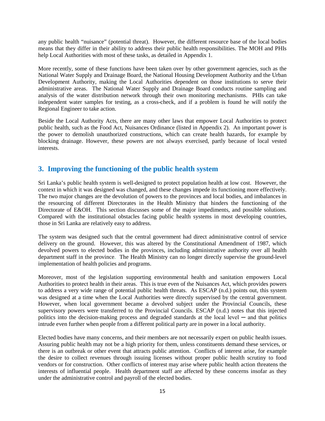any public health "nuisance" (potential threat). However, the different resource base of the local bodies means that they differ in their ability to address their public health responsibilities. The MOH and PHIs help Local Authorities with most of these tasks, as detailed in Appendix 1.

More recently, some of these functions have been taken over by other government agencies, such as the National Water Supply and Drainage Board, the National Housing Development Authority and the Urban Development Authority, making the Local Authorities dependent on those institutions to serve their administrative areas. The National Water Supply and Drainage Board conducts routine sampling and analysis of the water distribution network through their own monitoring mechanisms. PHIs can take independent water samples for testing, as a cross-check, and if a problem is found he will notify the Regional Engineer to take action.

Beside the Local Authority Acts, there are many other laws that empower Local Authorities to protect public health, such as the Food Act, Nuisances Ordinance (listed in Appendix 2). An important power is the power to demolish unauthorized constructions, which can create health hazards, for example by blocking drainage. However, these powers are not always exercised, partly because of local vested interests.

# **3. Improving the functioning of the public health system**

Sri Lanka's public health system is well-designed to protect population health at low cost. However, the context in which it was designed was changed, and these changes impede its functioning more effectively. The two major changes are the devolution of powers to the provinces and local bodies, and imbalances in the resourcing of different Directorates in the Health Ministry that hinders the functioning of the Directorate of E&OH. This section discusses some of the major impediments, and possible solutions. Compared with the institutional obstacles facing public health systems in most developing countries, those in Sri Lanka are relatively easy to address.

The system was designed such that the central government had direct administrative control of service delivery on the ground. However, this was altered by the Constitutional Amendment of 1987, which devolved powers to elected bodies in the provinces, including administrative authority over all health department staff in the province. The Health Ministry can no longer directly supervise the ground-level implementation of health policies and programs.

Moreover, most of the legislation supporting environmental health and sanitation empowers Local Authorities to protect health in their areas. This is true even of the Nuisances Act, which provides powers to address a very wide range of potential public health threats. As ESCAP (n.d.) points out, this system was designed at a time when the Local Authorities were directly supervised by the central government. However, when local government became a devolved subject under the Provincial Councils, these supervisory powers were transferred to the Provincial Councils. ESCAP (n.d.) notes that this injected politics into the decision-making process and degraded standards at the local level  $-$  and that politics intrude even further when people from a different political party are in power in a local authority.

Elected bodies have many concerns, and their members are not necessarily expert on public health issues. Assuring public health may not be a high priority for them, unless constituents demand these services, or there is an outbreak or other event that attracts public attention. Conflicts of interest arise, for example the desire to collect revenues through issuing licenses without proper public health scrutiny to food vendors or for construction. Other conflicts of interest may arise where public health action threatens the interests of influential people. Health department staff are affected by these concerns insofar as they under the administrative control and payroll of the elected bodies.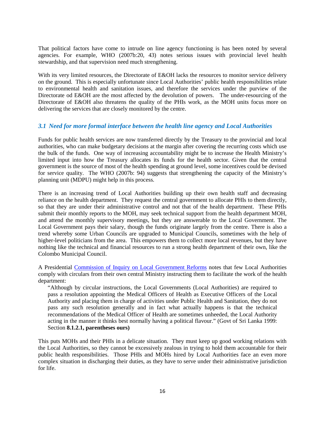That political factors have come to intrude on line agency functioning is has been noted by several agencies. For example, WHO (2007b:20, 43) notes serious issues with provincial level health stewardship, and that supervision need much strengthening.

With its very limited resources, the Directorate of E&OH lacks the resources to monitor service delivery on the ground. This is especially unfortunate since Local Authorities' public health responsibilities relate to environmental health and sanitation issues, and therefore the services under the purview of the Directorate od E&OH are the most affected by the devolution of powers. The under-resourcing of the Directorate of E&OH also threatens the quality of the PHIs work, as the MOH units focus more on delivering the services that are closely monitored by the centre.

#### *3.1 Need for more formal interface between the health line agency and Local Authorities*

Funds for public health services are now transferred directly by the Treasury to the provincial and local authorities, who can make budgetary decisions at the margin after covering the recurring costs which use the bulk of the funds. One way of increasing accountability might be to increase the Health Ministry's limited input into how the Treasury allocates its funds for the health sector. Given that the central government is the source of most of the health spending at ground level, some incentives could be devised for service quality. The WHO (2007b: 94) suggests that strengthening the capacity of the Ministry's planning unit (MDPU) might help in this process.

There is an increasing trend of Local Authorities building up their own health staff and decreasing reliance on the health department. They request the central government to allocate PHIs to them directly, so that they are under their administrative control and not that of the health department. These PHIs submit their monthly reports to the MOH, may seek technical support from the health department MOH, and attend the monthly supervisory meetings, but they are answerable to the Local Government. The Local Government pays their salary, though the funds originate largely from the centre. There is also a trend whereby some Urban Councils are upgraded to Municipal Councils, sometimes with the help of higher-level politicians from the area. This empowers them to collect more local revenues, but they have nothing like the technical and financial resources to run a strong health department of their own, like the Colombo Municipal Council.

A Presidential [Commission of Inquiry on Local Government Reforms](http://www.google.com/search?tbo=p&tbm=bks&q=inauthor:%22Sri+Lanka.+Commission+of+Inquiry+on+Local+Government+Reforms%22&source=gbs_metadata_r&cad=4) notes that few Local Authorities comply with circulars from their own central Ministry instructing them to facilitate the work of the health department:

"Although by circular instructions, the Local Governments (Local Authorities) are required to pass a resolution appointing the Medical Officers of Health as Executive Officers of the Local Authority and placing them in charge of activities under Public Health and Sanitation, they do not pass any such resolution generally and in fact what actually happens is that the technical recommendations of the Medical Officer of Health are sometimes unheeded, the Local Authority acting in the manner it thinks best normally having a political flavour." (Govt of Sri Lanka 1999: Section **8.1.2.1, parentheses ours)** 

This puts MOHs and their PHIs in a delicate situation. They must keep up good working relations with the Local Authorities, so they cannot be excessively zealous in trying to hold them accountable for their public health responsibilities. Those PHIs and MOHs hired by Local Authorities face an even more complex situation in discharging their duties, as they have to serve under their administrative jurisdiction for life.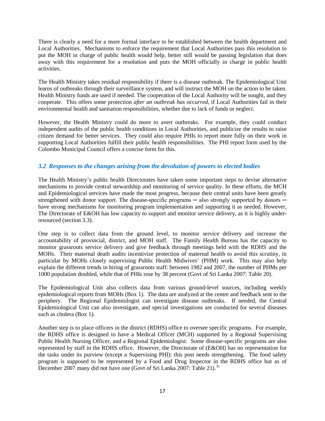There is clearly a need for a more formal interface to be established between the health department and Local Authorities. Mechanisms to enforce the requirement that Local Authorities pass this resolution to put the MOH in charge of public health would help, better still would be passing legislation that does away with this requirement for a resolution and puts the MOH officially in charge in public health activities.

The Health Ministry takes residual responsibility if there is a disease outbreak. The Epidemiological Unit learns of outbreaks through their surveillance system, and will instruct the MOH on the action to be taken. Health Ministry funds are used if needed. The cooperation of the Local Authority will be sought, and they cooperate. This offers some protection *after an outbreak has occurred*, if Local Authorities fail in their environmental health and sanitation responsibilities, whether due to lack of funds or neglect.

However, the Health Ministry could do more to avert outbreaks. For example, they could conduct independent audits of the public health conditions in Local Authorities, and publicize the results to raise citizen demand for better services. They could also require PHIs to report more fully on their work in supporting Local Authorities fulfill their public health responsibilities. The PHI report form used by the Colombo Municipal Council offers a concise form for this.

## *3.2 Responses to the changes arising from the devolution of powers to elected bodies*

The Health Ministry's public health Directorates have taken some important steps to devise alternative mechanisms to provide central stewardship and monitoring of service quality. In these efforts, the MCH and Epidemiological services have made the most progress, because their central units have been greatly strengthened with donor support. The disease-specific programs  $-$  also strongly supported by donors  $$ have strong mechanisms for monitoring program implementation and supporting it as needed. However, The Directorate of E&OH has low capacity to support and monitor service delivery, as it is highly underresourced (section 3.3).

One step is to collect data from the ground level, to monitor service delivery and increase the accountability of provincial, district, and MOH staff. The Family Health Bureau has the capacity to monitor grassroots service delivery and give feedback through meetings held with the RDHS and the MOHs. Their maternal death audits incentivize protection of maternal health to avoid this scrutiny, in particular by MOHs closely supervising Public Health Midwives' (PHM) work. This may also help explain the different trends in hiring of grassroots staff: between 1982 and 2007, the number of PHMs per 1000 population doubled, while that of PHIs rose by 38 percent (Govt of Sri Lanka 2007: Table 20).

The Epidemiological Unit also collects data from various ground-level sources, including weekly epidemiological reports from MOHs (Box 1). The data are analyzed at the centre and feedback sent to the periphery. The Regional Epidemiologist can investigate disease outbreaks. If needed, the Central Epidemiological Unit can also investigate, and special investigations are conducted for several diseases such as cholera (Box 1).

Another step is to place officers in the district (RDHS) office to oversee specific programs. For example, the RDHS office is designed to have a Medical Officer (MCH) supported by a Regional Supervising Public Health Nursing Officer, and a Regional Epidemiologist. Some disease-specific programs are also represented by staff in the RDHS office. However, the Directorate of (E&OH) has no representation for the tasks under its purview (except a Supervising PHI): this post needs strengthening. The food safety program is supposed to be represented by a Food and Drug Inspector in the RDHS office but as of December 2007 many did not have one (Govt of Sri Lanka 2007: Table 21).<sup>[31](#page-38-30)</sup>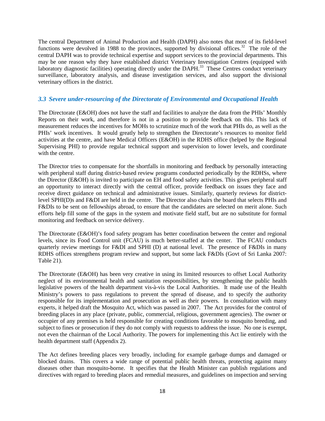The central Department of Animal Production and Health (DAPH) also notes that most of its field-level functions were devolved in 1988 to the provinces, supported by divisional offices.<sup>32</sup> The role of the central DAPH was to provide technical expertise and support services to the provincial departments. This may be one reason why they have established district Veterinary Investigation Centres (equipped with laboratory diagnostic facilities) operating directly under the DAPH.<sup>[33](#page-38-32)</sup> These Centres conduct veterinary surveillance, laboratory analysis, and disease investigation services, and also support the divisional veterinary offices in the district.

### *3.3 Severe under-resourcing of the Directorate of Environmental and Occupational Health*

The Directorate (E&OH) does not have the staff and facilities to analyze the data from the PHIs' Monthly Reports on their work, and therefore is not in a position to provide feedback on this. This lack of measurement reduces the incentives for MOHs to scrutinize much of the work that PHIs do, as well as the PHIs' work incentives. It would greatly help to strengthen the Directorate's resources to monitor field activities at the centre, and have Medical Officers (E&OH) in the RDHS office (helped by the Regional Supervising PHI) to provide regular technical support and supervision to lower levels, and coordinate with the centre.

The Director tries to compensate for the shortfalls in monitoring and feedback by personally interacting with peripheral staff during district-based review programs conducted periodically by the RDHSs, where the Director (E&OH) is invited to participate on EH and food safety activities. This gives peripheral staff an opportunity to interact directly with the central officer, provide feedback on issues they face and receive direct guidance on technical and administrative issues. Similarly, quarterly reviews for districtlevel SPHI(D)s and F&DI are held in the centre. The Director also chairs the board that selects PHIs and F&DIs to be sent on fellowships abroad, to ensure that the candidates are selected on merit alone. Such efforts help fill some of the gaps in the system and motivate field staff, but are no substitute for formal monitoring and feedback on service delivery.

The Directorate (E&OH)'s food safety program has better coordination between the center and regional levels, since its Food Control unit (FCAU) is much better-staffed at the center. The FCAU conducts quarterly review meetings for F&DI and SPHI (D) at national level. The presence of F&DIs in many RDHS offices strengthens program review and support, but some lack F&DIs (Govt of Sri Lanka 2007: Table 21).

The Directorate (E&OH) has been very creative in using its limited resources to offset Local Authority neglect of its environmental health and sanitation responsibilities, by strengthening the public health legislative powers of the health department vis-à-vis the Local Authorities. It made use of the Health Ministry's powers to pass regulations to prevent the spread of disease, and to specify the authority responsible for its implementation and prosecution as well as their powers. In consultation with many experts, it helped draft the Mosquito Act, which was passed in 2007. The Act provides for the control of breeding places in any place (private, public, commercial, religious, government agencies). The owner or occupier of any premises is held responsible for creating conditions favorable to mosquito breeding, and subject to fines or prosecution if they do not comply with requests to address the issue. No one is exempt, not even the chairman of the Local Authority. The powers for implementing this Act lie entirely with the health department staff (Appendix 2).

The Act defines breeding places very broadly, including for example garbage dumps and damaged or blocked drains. This covers a wide range of potential public health threats, protecting against many diseases other than mosquito-borne. It specifies that the Health Minister can publish regulations and directives with regard to breeding places and remedial measures, and guidelines on inspection and serving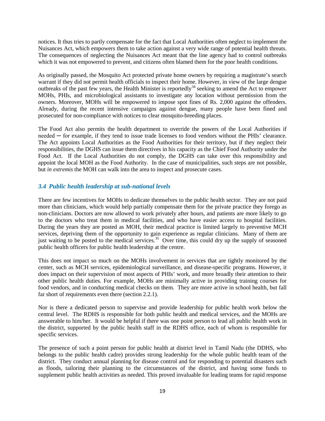notices. It thus tries to partly compensate for the fact that Local Authorities often neglect to implement the Nuisances Act, which empowers them to take action against a very wide range of potential health threats. The consequences of neglecting the Nuisances Act meant that the line agency had to control outbreaks which it was not empowered to prevent, and citizens often blamed them for the poor health conditions.

As originally passed, the Mosquito Act protected private home owners by requiring a magistrate's search warrant if they did not permit health officials to inspect their home. However, in view of the large dengue outbreaks of the past few years, the Health Minister is reportedly<sup>[34](#page-38-33)</sup> seeking to amend the Act to empower MOHs, PHIs, and microbiological assistants to investigate any location without permission from the owners. Moreover, MOHs will be empowered to impose spot fines of Rs. 2,000 against the offenders. Already, during the recent intensive campaigns against dengue, many people have been fined and prosecuted for non-compliance with notices to clear mosquito-breeding places.

The Food Act also permits the health department to override the powers of the Local Authorities if needed — for example, if they tend to issue trade licenses to food vendors without the PHIs' clearance. The Act appoints Local Authorities as the Food Authorities for their territory, but if they neglect their responsibilities, the DGHS can issue them directives in his capacity as the Chief Food Authority under the Food Act. If the Local Authorities do not comply, the DGHS can take over this responsibility and appoint the local MOH as the Food Authority. In the case of municipalities, such steps are not possible, but *in extremis* the MOH can walk into the area to inspect and prosecute cases.

#### *3.4 Public health leadership at sub-national levels*

There are few incentives for MOHs to dedicate themselves to the public health sector. They are not paid more than clinicians, which would help partially compensate them for the private practice they forego as non-clinicians. Doctors are now allowed to work privately after hours, and patients are more likely to go to the doctors who treat them in medical facilities, and who have easier access to hospital facilities. During the years they are posted as MOH, their medical practice is limited largely to preventive MCH services, depriving them of the opportunity to gain experience as regular clinicians. Many of them are just waiting to be posted to the medical services.<sup>35</sup> Over time, this could dry up the supply of seasoned public health officers for public health leadership at the centre.

This does not impact so much on the MOHs involvement in services that are tightly monitored by the center, such as MCH services, epidemiological surveillance, and disease-specific programs. However, it does impact on their supervision of most aspects of PHIs' work, and more broadly their attention to their other public health duties. For example, MOHs are minimally active in providing training courses for food vendors, and in conducting medical checks on them. They are more active in school health, but fall far short of requirements even there (section 2.2.1).

Nor is there a dedicated person to supervise and provide leadership for public health work below the central level. The RDHS is responsible for both public health and medical services, and the MOHs are answerable to him/her. It would be helpful if there was one point person to lead all public health work in the district, supported by the public health staff in the RDHS office, each of whom is responsible for specific services.

The presence of such a point person for public health at district level in Tamil Nadu (the DDHS, who belongs to the public health cadre) provides strong leadership for the whole public health team of the district. They conduct annual planning for disease control and for responding to potential disasters such as floods, tailoring their planning to the circumstances of the district, and having some funds to supplement public health activities as needed. This proved invaluable for leading teams for rapid response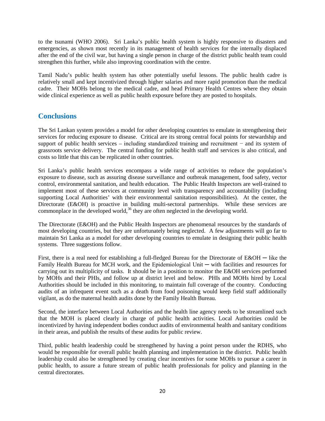to the tsunami (WHO 2006). Sri Lanka's public health system is highly responsive to disasters and emergencies, as shown most recently in its management of health services for the internally displaced after the end of the civil war, but having a single person in charge of the district public health team could strengthen this further, while also improving coordination with the centre.

Tamil Nadu's public health system has other potentially useful lessons. The public health cadre is relatively small and kept incentivized through higher salaries and more rapid promotion than the medical cadre. Their MOHs belong to the medical cadre, and head Primary Health Centres where they obtain wide clinical experience as well as public health exposure before they are posted to hospitals.

# **Conclusions**

The Sri Lankan system provides a model for other developing countries to emulate in strengthening their services for reducing exposure to disease. Critical are its strong central focal points for stewardship and support of public health services – including standardized training and recruitment – and its system of grassroots service delivery. The central funding for public health staff and services is also critical, and costs so little that this can be replicated in other countries.

Sri Lanka's public health services encompass a wide range of activities to reduce the population's exposure to disease, such as assuring disease surveillance and outbreak management, food safety, vector control, environmental sanitation, and health education. The Public Health Inspectors are well-trained to implement most of these services at community level with transparency and accountability (including supporting Local Authorities' with their environmental sanitation responsibilities). At the center, the Directorate (E&OH) is proactive in building multi-sectoral partnerships. While these services are commonplace in the developed world,<sup>36</sup> they are often neglected in the developing world.

The Directorate (E&OH) and the Public Health Inspectors are phenomenal resources by the standards of most developing countries, but they are unfortunately being neglected. A few adjustments will go far to maintain Sri Lanka as a model for other developing countries to emulate in designing their public health systems. Three suggestions follow.

First, there is a real need for establishing a full-fledged Bureau for the Directorate of E&OH — like the Family Health Bureau for MCH work, and the Epidemiological Unit — with facilities and resources for carrying out its multiplicity of tasks. It should be in a position to monitor the E&OH services performed by MOHs and their PHIs, and follow up at district level and below. PHIs and MOHs hired by Local Authorities should be included in this monitoring, to maintain full coverage of the country. Conducting audits of an infrequent event such as a death from food poisoning would keep field staff additionally vigilant, as do the maternal health audits done by the Family Health Bureau.

Second, the interface between Local Authorities and the health line agency needs to be streamlined such that the MOH is placed clearly in charge of public health activities. Local Authorities could be incentivized by having independent bodies conduct audits of environmental health and sanitary conditions in their areas, and publish the results of these audits for public review.

Third, public health leadership could be strengthened by having a point person under the RDHS, who would be responsible for overall public health planning and implementation in the district. Public health leadership could also be strengthened by creating clear incentives for some MOHs to pursue a career in public health, to assure a future stream of public health professionals for policy and planning in the central directorates.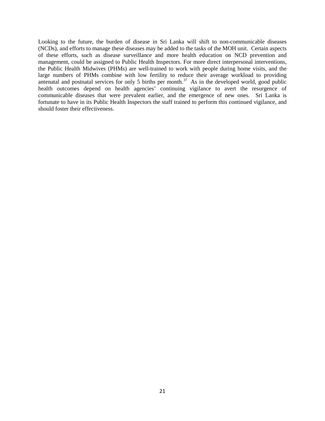Looking to the future, the burden of disease in Sri Lanka will shift to non-communicable diseases (NCDs), and efforts to manage these diseases may be added to the tasks of the MOH unit. Certain aspects of these efforts, such as disease surveillance and more health education on NCD prevention and management, could be assigned to Public Health Inspectors. For more direct interpersonal interventions, the Public Health Midwives (PHMs) are well-trained to work with people during home visits, and the large numbers of PHMs combine with low fertility to reduce their average workload to providing antenatal and postnatal services for only 5 births per month.<sup>37</sup> As in the developed world, good public health outcomes depend on health agencies' continuing vigilance to avert the resurgence of communicable diseases that were prevalent earlier, and the emergence of new ones. Sri Lanka is fortunate to have in its Public Health Inspectors the staff trained to perform this continued vigilance, and should foster their effectiveness.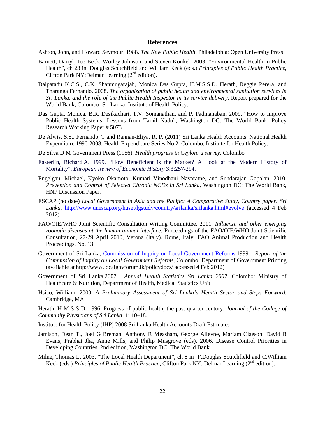#### **References**

Ashton, John, and Howard Seymour. 1988. *The New Public Health*. Philadelphia: Open University Press

- Barnett, Darryl, Joe Beck, Worley Johnson, and Steven Konkel. 2003. "Environmental Health in Public Health", ch 23 in Douglas Scutchfield and William Keck (eds.) *Principles of Public Health Practice*, Clifton Park NY: Delmar Learning  $(2<sup>nd</sup>$  edition).
- Dalpatadu K.C.S., C.K. Shanmugarajah, Monica Das Gupta, H.M.S.S.D. Herath, Reggie Perera, and Tharanga Fernando. 2008. *The organization of public health and environmental sanitation services in Sri Lanka, and the role of the Public Health Inspector in its service delivery*, Report prepared for the World Bank, Colombo, Sri Lanka: Institute of Health Policy.
- Das Gupta, Monica, B.R. Desikachari, T.V. Somanathan, and P. Padmanaban. 2009. "How to Improve Public Health Systems: Lessons from Tamil Nadu", Washington DC: The World Bank, Policy Research Working Paper # 5073
- De Alwis, S.S., Fernando, T and Rannan-Eliya, R. P. (2011) Sri Lanka Health Accounts: National Health Expenditure 1990-2008. Health Expenditure Series No.2. Colombo, Institute for Health Policy.
- De Silva D M Government Press (1956). *Health progress in Ceylon: a survey,* Colombo
- Easterlin, Richard.A. 1999. "How Beneficient is the Market? A Look at the Modern History of Mortality", *European Review of Economic History* 3:3:257-294.
- Engelgau, Michael, Kyoko Okamoto, Kumari Vinodhani Navaratne, and Sundarajan Gopalan. 2010. *Prevention and Control of Selected Chronic NCDs in Sri Lanka*, Washington DC: The World Bank, HNP Discussion Paper.
- ESCAP (no date) *Local Government in Asia and the Pacific: A Comparative Study, Country paper: Sri Lanka*. <http://www.unescap.org/huset/lgstudy/country/srilanka/srilanka.html#evolve> (accessed 4 Feb 2012)
- FAO/OIE/WHO Joint Scientific Consultation Writing Committee. 2011. *Influenza and other emerging zoonotic diseases at the human-animal interface.* Proceedings of the FAO/OIE/WHO Joint Scientific Consultation, 27-29 April 2010, Verona (Italy). Rome, Italy: FAO Animal Production and Health Proceedings, No. 13.
- Government of Sri Lanka, [Commission of Inquiry on Local Government Reforms.](http://www.google.com/search?tbo=p&tbm=bks&q=inauthor:%22Sri+Lanka.+Commission+of+Inquiry+on+Local+Government+Reforms%22&source=gbs_metadata_r&cad=4)1999. *Report of the Commission of Inquiry on Local Government Reforms*, Colombo: Department of Government Printing (available at http://www.localgovforum.lk/policydocs/ accessed 4 Feb 2012)
- Government of Sri Lanka.2007. *Annual Health Statistics Sri Lanka 2007*. Colombo: Ministry of Healthcare & Nutrition, Department of Health, Medical Statistics Unit
- Hsiao, William. 2000. *A Preliminary Assessment of Sri Lanka's Health Sector and Steps Forward*, Cambridge, MA

Herath, H M S S D. 1996. Progress of public health; the past quarter century; *Journal of the College of Community Physicians of Sri Lanka*, 1: 10–18.

Institute for Health Policy (IHP) 2008 Sri Lanka Health Accounts Draft Estimates

- Jamison, Dean T., Joel G Breman, Anthony R Measham, George Alleyne, Mariam Claeson, David B Evans, Prabhat Jha, Anne Mills, and Philip Musgrove (eds). 2006. Disease Control Priorities in Developing Countries, 2nd edition, Washington DC: The [World](http://www.dcp2.org/main/Home.html) Bank.
- Milne, Thomas L. 2003. "The Local Health Department", ch 8 in F.Douglas Scutchfield and C.William Keck (eds.) *Principles of Public Health Practice*, Clifton Park NY: Delmar Learning (2<sup>nd</sup> edition).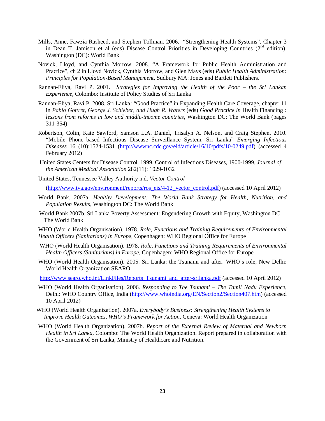- Mills, Anne, Fawzia Rasheed, and Stephen Tollman. 2006. "Strengthening Health Systems", Chapter 3 in Dean T. Jamison et al (eds) Disease Control Priorities in Developing Countries  $(2<sup>nd</sup> edition)$ , Washington (DC): World Bank
- Novick, Lloyd, and Cynthia Morrow. 2008. "A Framework for Public Health Administration and Practice", ch 2 in Lloyd Novick, Cynthia Morrow, and Glen Mays (eds) *Public Health Administration: Principles for Population-Based Management*, Sudbury MA: Jones and Bartlett Publishers.
- Rannan-Eliya, Ravi P. 2001. *Strategies for Improving the Health of the Poor the Sri Lankan Experience*, Colombo: Institute of Policy Studies of Sri Lanka
- Rannan-Eliya, Ravi P. 2008. Sri Lanka*:* "Good Practice" in Expanding Health Care Coverage, chapter 11 in *Pablo Gottret, George J. Schieber, and Hugh R. Waters* (eds) *Good Practice in Health Financing* : *lessons from reforms in low and middle-income countries*, Washington DC: The World Bank (pages 311-354)
- Robertson, Colin, Kate Sawford, Samson L.A. Daniel, Trisalyn A. Nelson, and Craig Stephen. 2010. "Mobile Phone–based Infectious Disease Surveillance System, Sri Lanka" *Emerging Infectious Diseases* 16 (10):1524-1531 [\(http://wwwnc.cdc.gov/eid/article/16/10/pdfs/10-0249.pdf\)](http://wwwnc.cdc.gov/eid/article/16/10/pdfs/10-0249.pdf) (accessed 4 February 2012)
- United States Centers for Disease Control. 1999. Control of Infectious Diseases, 1900-1999, *Journal of the American Medical Association* 282(11): 1029-1032
- United States, Tennessee Valley Authority n.d. *Vector Control*

[\(http://www.tva.gov/environment/reports/ros\\_eis/4-12\\_vector\\_control.pdf\)](http://www.tva.gov/environment/reports/ros_eis/4-12_vector_control.pdf) (accessed 10 April 2012)

- World Bank. 2007a. *Healthy Development: The World Bank Strategy for Health, Nutrition, and Population Results*, Washington DC: The World Bank
- World Bank 2007b. Sri Lanka Poverty Assessment: Engendering Growth with Equity, Washington DC: The World Bank

WHO (World Health Organisation). 1978. *Role, Functions and Training Requirements of Environmental Health Officers (Sanitarians) in Europe*, Copenhagen: WHO Regional Office for Europe

- WHO (World Health Organisation). 1978. *Role, Functions and Training Requirements of Environmental Health Officers (Sanitarians) in Europe*, Copenhagen: WHO Regional Office for Europe
- WHO (World Health Organisation). 2005. Sri Lanka: the Tsunami and after: WHO's role, New Delhi: World Health Organization SEARO

[http://www.searo.who.int/LinkFiles/Reports\\_Tsunami\\_and\\_after-srilanka.pdf](http://www.searo.who.int/LinkFiles/Reports_Tsunami_and_after-srilanka.pdf) (accessed 10 April 2012)

- WHO (World Health Organisation). 2006. *Responding to The Tsunami The Tamil Nadu Experience*, Delhi: WHO Country Office, India [\(http://www.whoindia.org/EN/Section2/Section407.htm\)](http://www.whoindia.org/EN/Section2/Section407.htm) (accessed 10 April 2012)
- WHO (World Health Organization). 2007a. *Everybody's Business: Strengthening Health Systems to Improve Health Outcomes, WHO's Framework for Action*. Geneva: World Health Organization
- WHO (World Health Organization). 2007b. *Report of the External Review of Maternal and Newborn Health in Sri Lanka*, Colombo: The World Health Organization. Report prepared in collaboration with the Government of Sri Lanka, Ministry of Healthcare and Nutrition.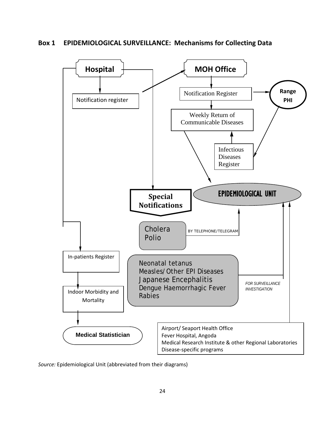## **Box 1 EPIDEMIOLOGICAL SURVEILLANCE: Mechanisms for Collecting Data**



*Source:* Epidemiological Unit (abbreviated from their diagrams)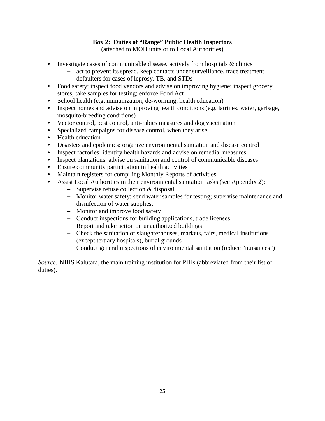# **Box 2: Duties of "Range" Public Health Inspectors**

(attached to MOH units or to Local Authorities)

- Investigate cases of communicable disease, actively from hospitals & clinics
	- act to prevent its spread, keep contacts under surveillance, trace treatment defaulters for cases of leprosy, TB, and STDs
- Food safety: inspect food vendors and advise on improving hygiene; inspect grocery stores; take samples for testing; enforce Food Act
- School health (e.g. immunization, de-worming, health education)
- Inspect homes and advise on improving health conditions (e.g. latrines, water, garbage, mosquito-breeding conditions)
- Vector control, pest control, anti-rabies measures and dog vaccination
- Specialized campaigns for disease control, when they arise
- Health education
- Disasters and epidemics: organize environmental sanitation and disease control
- Inspect factories: identify health hazards and advise on remedial measures
- Inspect plantations: advise on sanitation and control of communicable diseases
- Ensure community participation in health activities
- Maintain registers for compiling Monthly Reports of activities
- Assist Local Authorities in their environmental sanitation tasks (see Appendix 2):
	- Supervise refuse collection & disposal
	- Monitor water safety: send water samples for testing; supervise maintenance and disinfection of water supplies,
	- Monitor and improve food safety
	- Conduct inspections for building applications, trade licenses
	- Report and take action on unauthorized buildings
	- Check the sanitation of slaughterhouses, markets, fairs, medical institutions (except tertiary hospitals), burial grounds
	- Conduct general inspections of environmental sanitation (reduce "nuisances")

*Source:* NIHS Kalutara, the main training institution for PHIs (abbreviated from their list of duties).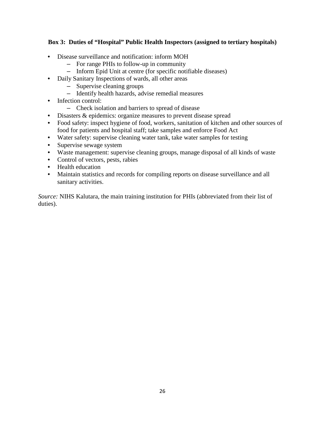# **Box 3: Duties of "Hospital" Public Health Inspectors (assigned to tertiary hospitals)**

- Disease surveillance and notification: inform MOH
	- For range PHIs to follow-up in community
	- Inform Epid Unit at centre (for specific notifiable diseases)
- Daily Sanitary Inspections of wards, all other areas
	- Supervise cleaning groups
	- Identify health hazards, advise remedial measures
- Infection control:
	- Check isolation and barriers to spread of disease
- Disasters & epidemics: organize measures to prevent disease spread
- Food safety: inspect hygiene of food, workers, sanitation of kitchen and other sources of food for patients and hospital staff; take samples and enforce Food Act
- Water safety: supervise cleaning water tank, take water samples for testing
- Supervise sewage system
- Waste management: supervise cleaning groups, manage disposal of all kinds of waste
- Control of vectors, pests, rabies
- Health education
- Maintain statistics and records for compiling reports on disease surveillance and all sanitary activities.

*Source:* NIHS Kalutara, the main training institution for PHIs (abbreviated from their list of duties).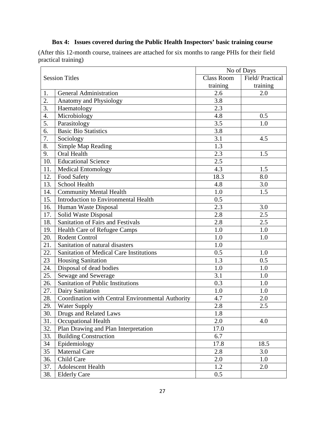|                       |                                                   | No of Days        |                 |
|-----------------------|---------------------------------------------------|-------------------|-----------------|
| <b>Session Titles</b> |                                                   | <b>Class Room</b> | Field/Practical |
|                       |                                                   | training          | training        |
| 1.                    | <b>General Administration</b>                     | 2.6               | 2.0             |
| 2.                    | Anatomy and Physiology                            | 3.8               |                 |
| $\overline{3}$ .      | Haematology                                       | $\overline{2.3}$  |                 |
| 4.                    | Microbiology                                      | 4.8               | 0.5             |
| 5.                    | Parasitology                                      | 3.5               | 1.0             |
| 6.                    | <b>Basic Bio Statistics</b>                       | 3.8               |                 |
| 7.                    | Sociology                                         | $\overline{3.1}$  | 4.5             |
| 8.                    | <b>Simple Map Reading</b>                         | 1.3               |                 |
| 9.                    | Oral Health                                       | 2.3               | 1.5             |
| 10.                   | <b>Educational Science</b>                        | 2.5               |                 |
| 11.                   | Medical Entomology                                | 4.3               | 1.5             |
| 12.                   | <b>Food Safety</b>                                | 18.3              | 8.0             |
| 13.                   | School Health                                     | 4.8               | 3.0             |
| 14.                   | <b>Community Mental Health</b>                    | 1.0               | 1.5             |
| 15.                   | Introduction to Environmental Health              | 0.5               |                 |
| 16.                   | Human Waste Disposal                              | 2.3               | 3.0             |
| 17.                   | Solid Waste Disposal                              | 2.8               | 2.5             |
| 18.                   | Sanitation of Fairs and Festivals                 | 2.8               | 2.5             |
| 19.                   | <b>Health Care of Refugee Camps</b>               | 1.0               | 1.0             |
| 20.                   | <b>Rodent Control</b>                             | 1.0               | 1.0             |
| 21.                   | Sanitation of natural disasters                   | 1.0               |                 |
| 22.                   | <b>Sanitation of Medical Care Institutions</b>    | 0.5               | 1.0             |
| 23                    | Housing Sanitation                                | 1.3               | 0.5             |
| 24.                   | Disposal of dead bodies                           | 1.0               | 1.0             |
| 25.                   | Sewage and Sewerage                               | 3.1               | 1.0             |
| 26.                   | Sanitation of Public Institutions                 | 0.3               | 1.0             |
| 27.                   | Dairy Sanitation                                  | 1.0               | 1.0             |
| 28.                   | Coordination with Central Environmental Authority | 4.7               | 2.0             |
| 29.                   | Water Supply                                      | $2.8\,$           | 2.5             |
| 30.                   | Drugs and Related Laws                            | 1.8               |                 |
| 31.                   | Occupational Health                               | 2.0               | 4.0             |
| 32.                   | Plan Drawing and Plan Interpretation              | 17.0              |                 |
| 33.                   | <b>Building Construction</b>                      | 6.7               |                 |
| 34                    | Epidemiology                                      | 17.8              | 18.5            |
| 35                    | <b>Maternal Care</b>                              | 2.8               | 3.0             |
| 36.                   | Child Care                                        | 2.0               | 1.0             |
| 37.                   | Adolescent Health                                 | 1.2               | 2.0             |
| 38.                   | <b>Elderly Care</b>                               | 0.5               |                 |

# **Box 4: Issues covered during the Public Health Inspectors' basic training course**

(After this 12-month course, trainees are attached for six months to range PHIs for their field practical training)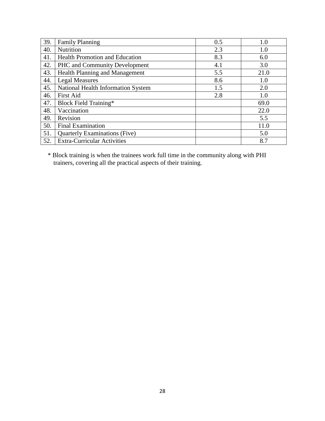| 39. | <b>Family Planning</b>                | 0.5 | 1.0  |
|-----|---------------------------------------|-----|------|
| 40. | Nutrition                             | 2.3 | 1.0  |
| 41. | <b>Health Promotion and Education</b> | 8.3 | 6.0  |
| 42. | <b>PHC</b> and Community Development  | 4.1 | 3.0  |
| 43. | <b>Health Planning and Management</b> | 5.5 | 21.0 |
| 44. | <b>Legal Measures</b>                 | 8.6 | 1.0  |
| 45. | National Health Information System    | 1.5 | 2.0  |
| 46. | <b>First Aid</b>                      | 2.8 | 1.0  |
| 47. | <b>Block Field Training*</b>          |     | 69.0 |
| 48. | Vaccination                           |     | 22.0 |
| 49. | Revision                              |     | 5.5  |
| 50. | Final Examination                     |     | 11.0 |
| 51. | <b>Quarterly Examinations (Five)</b>  |     | 5.0  |
| 52. | <b>Extra-Curricular Activities</b>    |     | 8.7  |

\* Block training is when the trainees work full time in the community along with PHI trainers, covering all the practical aspects of their training.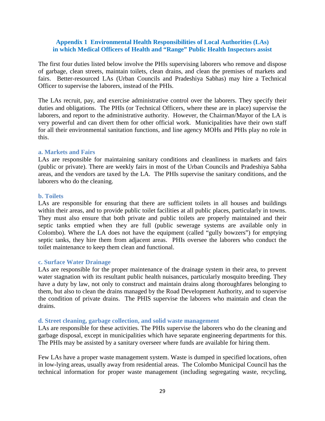#### **Appendix 1 Environmental Health Responsibilities of Local Authorities (LAs) in which Medical Officers of Health and "Range" Public Health Inspectors assist**

The first four duties listed below involve the PHIs supervising laborers who remove and dispose of garbage, clean streets, maintain toilets, clean drains, and clean the premises of markets and fairs. Better-resourced LAs (Urban Councils and Pradeshiya Sabhas) may hire a Technical Officer to supervise the laborers, instead of the PHIs.

The LAs recruit, pay, and exercise administrative control over the laborers. They specify their duties and obligations. The PHIs (or Technical Officers, where these are in place) supervise the laborers, and report to the administrative authority. However, the Chairman/Mayor of the LA is very powerful and can divert them for other official work. Municipalities have their own staff for all their environmental sanitation functions, and line agency MOHs and PHIs play no role in this.

#### **a. Markets and Fairs**

LAs are responsible for maintaining sanitary conditions and cleanliness in markets and fairs (public or private). There are weekly fairs in most of the Urban Councils and Pradeshiya Sabha areas, and the vendors are taxed by the LA. The PHIs supervise the sanitary conditions, and the laborers who do the cleaning.

#### **b. Toilets**

LAs are responsible for ensuring that there are sufficient toilets in all houses and buildings within their areas, and to provide public toilet facilities at all public places, particularly in towns. They must also ensure that both private and public toilets are properly maintained and their septic tanks emptied when they are full (public sewerage systems are available only in Colombo). Where the LA does not have the equipment (called "gully bowzers") for emptying septic tanks, they hire them from adjacent areas. PHIs oversee the laborers who conduct the toilet maintenance to keep them clean and functional.

#### **c. Surface Water Drainage**

LAs are responsible for the proper maintenance of the drainage system in their area, to prevent water stagnation with its resultant public health nuisances, particularly mosquito breeding. They have a duty by law, not only to construct and maintain drains along thoroughfares belonging to them, but also to clean the drains managed by the Road Development Authority, and to supervise the condition of private drains. The PHIS supervise the laborers who maintain and clean the drains.

#### **d. Street cleaning, garbage collection, and solid waste management**

LAs are responsible for these activities. The PHIs supervise the laborers who do the cleaning and garbage disposal, except in municipalities which have separate engineering departments for this. The PHIs may be assisted by a sanitary overseer where funds are available for hiring them.

Few LAs have a proper waste management system. Waste is dumped in specified locations, often in low-lying areas, usually away from residential areas. The Colombo Municipal Council has the technical information for proper waste management (including segregating waste, recycling,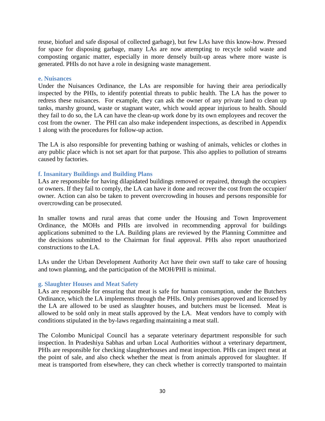reuse, biofuel and safe disposal of collected garbage), but few LAs have this know-how. Pressed for space for disposing garbage, many LAs are now attempting to recycle solid waste and composting organic matter, especially in more densely built-up areas where more waste is generated. PHIs do not have a role in designing waste management.

#### **e. Nuisances**

Under the Nuisances Ordinance, the LAs are responsible for having their area periodically inspected by the PHIs, to identify potential threats to public health. The LA has the power to redress these nuisances. For example, they can ask the owner of any private land to clean up tanks, marshy ground, waste or stagnant water, which would appear injurious to health. Should they fail to do so, the LA can have the clean-up work done by its own employees and recover the cost from the owner. The PHI can also make independent inspections, as described in Appendix 1 along with the procedures for follow-up action.

The LA is also responsible for preventing bathing or washing of animals, vehicles or clothes in any public place which is not set apart for that purpose. This also applies to pollution of streams caused by factories.

#### **f. Insanitary Buildings and Building Plans**

LAs are responsible for having dilapidated buildings removed or repaired, through the occupiers or owners. If they fail to comply, the LA can have it done and recover the cost from the occupier/ owner. Action can also be taken to prevent overcrowding in houses and persons responsible for overcrowding can be prosecuted.

In smaller towns and rural areas that come under the Housing and Town Improvement Ordinance, the MOHs and PHIs are involved in recommending approval for buildings applications submitted to the LA. Building plans are reviewed by the Planning Committee and the decisions submitted to the Chairman for final approval. PHIs also report unauthorized constructions to the LA.

LAs under the Urban Development Authority Act have their own staff to take care of housing and town planning, and the participation of the MOH/PHI is minimal.

#### **g. Slaughter Houses and Meat Safety**

LAs are responsible for ensuring that meat is safe for human consumption, under the Butchers Ordinance, which the LA implements through the PHIs. Only premises approved and licensed by the LA are allowed to be used as slaughter houses, and butchers must be licensed. Meat is allowed to be sold only in meat stalls approved by the LA. Meat vendors have to comply with conditions stipulated in the by-laws regarding maintaining a meat stall.

The Colombo Municipal Council has a separate veterinary department responsible for such inspection. In Pradeshiya Sabhas and urban Local Authorities without a veterinary department, PHIs are responsible for checking slaughterhouses and meat inspection. PHIs can inspect meat at the point of sale, and also check whether the meat is from animals approved for slaughter. If meat is transported from elsewhere, they can check whether is correctly transported to maintain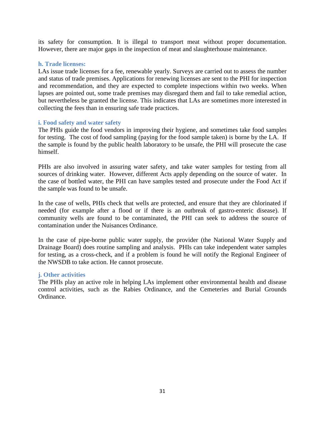its safety for consumption. It is illegal to transport meat without proper documentation. However, there are major gaps in the inspection of meat and slaughterhouse maintenance.

#### **h. Trade licenses:**

LAs issue trade licenses for a fee, renewable yearly. Surveys are carried out to assess the number and status of trade premises. Applications for renewing licenses are sent to the PHI for inspection and recommendation, and they are expected to complete inspections within two weeks. When lapses are pointed out, some trade premises may disregard them and fail to take remedial action, but nevertheless be granted the license. This indicates that LAs are sometimes more interested in collecting the fees than in ensuring safe trade practices.

#### **i. Food safety and water safety**

The PHIs guide the food vendors in improving their hygiene, and sometimes take food samples for testing. The cost of food sampling (paying for the food sample taken) is borne by the LA. If the sample is found by the public health laboratory to be unsafe, the PHI will prosecute the case himself.

PHIs are also involved in assuring water safety, and take water samples for testing from all sources of drinking water. However, different Acts apply depending on the source of water. In the case of bottled water, the PHI can have samples tested and prosecute under the Food Act if the sample was found to be unsafe.

In the case of wells, PHIs check that wells are protected, and ensure that they are chlorinated if needed (for example after a flood or if there is an outbreak of gastro-enteric disease). If community wells are found to be contaminated, the PHI can seek to address the source of contamination under the Nuisances Ordinance.

In the case of pipe-borne public water supply, the provider (the National Water Supply and Drainage Board) does routine sampling and analysis. PHIs can take independent water samples for testing, as a cross-check, and if a problem is found he will notify the Regional Engineer of the NWSDB to take action. He cannot prosecute.

#### **j. Other activities**

The PHIs play an active role in helping LAs implement other environmental health and disease control activities, such as the Rabies Ordinance, and the Cemeteries and Burial Grounds Ordinance.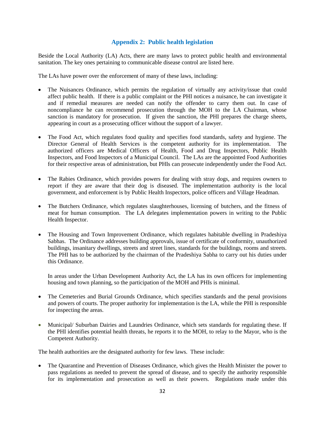#### **Appendix 2: Public health legislation**

Beside the Local Authority (LA) Acts, there are many laws to protect public health and environmental sanitation. The key ones pertaining to communicable disease control are listed here.

The LAs have power over the enforcement of many of these laws, including:

- The Nuisances Ordinance, which permits the regulation of virtually any activity/issue that could affect public health. If there is a public complaint or the PHI notices a nuisance, he can investigate it and if remedial measures are needed can notify the offender to carry them out. In case of noncompliance he can recommend prosecution through the MOH to the LA Chairman, whose sanction is mandatory for prosecution. If given the sanction, the PHI prepares the charge sheets, appearing in court as a prosecuting officer without the support of a lawyer.
- The Food Act, which regulates food quality and specifies food standards, safety and hygiene. The Director General of Health Services is the competent authority for its implementation. The authorized officers are Medical Officers of Health, Food and Drug Inspectors, Public Health Inspectors, and Food Inspectors of a Municipal Council. The LAs are the appointed Food Authorities for their respective areas of administration, but PHIs can prosecute independently under the Food Act.
- The Rabies Ordinance, which provides powers for dealing with stray dogs, and requires owners to report if they are aware that their dog is diseased. The implementation authority is the local government, and enforcement is by Public Health Inspectors, police officers and Village Headman.
- The Butchers Ordinance, which regulates slaughterhouses, licensing of butchers, and the fitness of meat for human consumption. The LA delegates implementation powers in writing to the Public Health Inspector.
- The Housing and Town Improvement Ordinance, which regulates habitable dwelling in Pradeshiya Sabhas. The Ordinance addresses building approvals, issue of certificate of conformity, unauthorized buildings, insanitary dwellings, streets and street lines, standards for the buildings, rooms and streets. The PHI has to be authorized by the chairman of the Pradeshiya Sabha to carry out his duties under this Ordinance.

In areas under the Urban Development Authority Act, the LA has its own officers for implementing housing and town planning, so the participation of the MOH and PHIs is minimal.

- The Cemeteries and Burial Grounds Ordinance, which specifies standards and the penal provisions and powers of courts. The proper authority for implementation is the LA, while the PHI is responsible for inspecting the areas.
- Municipal/ Suburban Dairies and Laundries Ordinance, which sets standards for regulating these. If the PHI identifies potential health threats, he reports it to the MOH, to relay to the Mayor, who is the Competent Authority.

The health authorities are the designated authority for few laws. These include:

The Quarantine and Prevention of Diseases Ordinance, which gives the Health Minister the power to pass regulations as needed to prevent the spread of disease, and to specify the authority responsible for its implementation and prosecution as well as their powers. Regulations made under this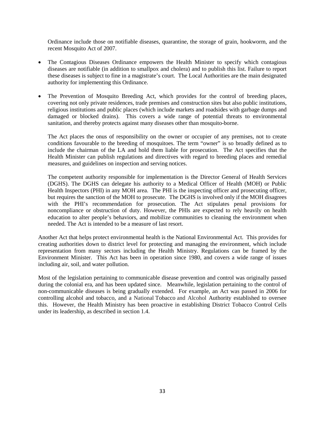Ordinance include those on notifiable diseases, quarantine, the storage of grain, hookworm, and the recent Mosquito Act of 2007.

- The Contagious Diseases Ordinance empowers the Health Minister to specify which contagious diseases are notifiable (in addition to smallpox and cholera) and to publish this list. Failure to report these diseases is subject to fine in a magistrate's court. The Local Authorities are the main designated authority for implementing this Ordinance.
- The Prevention of Mosquito Breeding Act, which provides for the control of breeding places, covering not only private residences, trade premises and construction sites but also public institutions, religious institutions and public places (which include markets and roadsides with garbage dumps and damaged or blocked drains). This covers a wide range of potential threats to environmental sanitation, and thereby protects against many diseases other than mosquito-borne.

The Act places the onus of responsibility on the owner or occupier of any premises, not to create conditions favourable to the breeding of mosquitoes. The term "owner" is so broadly defined as to include the chairman of the LA and hold them liable for prosecution. The Act specifies that the Health Minister can publish regulations and directives with regard to breeding places and remedial measures, and guidelines on inspection and serving notices.

The competent authority responsible for implementation is the Director General of Health Services (DGHS). The DGHS can delegate his authority to a Medical Officer of Health (MOH) or Public Health Inspectors (PHI) in any MOH area. The PHI is the inspecting officer and prosecuting officer, but requires the sanction of the MOH to prosecute. The DGHS is involved only if the MOH disagrees with the PHI's recommendation for prosecution. The Act stipulates penal provisions for noncompliance or obstruction of duty. However, the PHIs are expected to rely heavily on health education to alter people's behaviors, and mobilize communities to cleaning the environment when needed. The Act is intended to be a measure of last resort.

Another Act that helps protect environmental health is the National Environmental Act. This provides for creating authorities down to district level for protecting and managing the environment, which include representation from many sectors including the Health Ministry. Regulations can be framed by the Environment Minister. This Act has been in operation since 1980, and covers a wide range of issues including air, soil, and water pollution.

Most of the legislation pertaining to communicable disease prevention and control was originally passed during the colonial era, and has been updated since. Meanwhile, legislation pertaining to the control of non-communicable diseases is being gradually extended. For example, an Act was passed in 2006 for controlling alcohol and tobacco, and a National Tobacco and Alcohol Authority established to oversee this. However, the Health Ministry has been proactive in establishing District Tobacco Control Cells under its leadership, as described in section 1.4.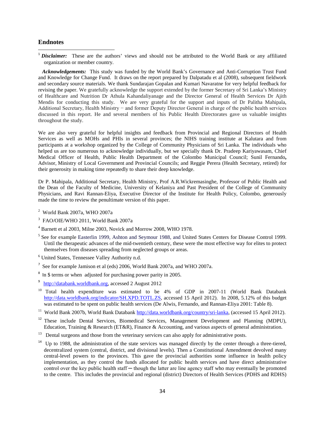#### **Endnotes**

l

<sup>1</sup> *Disclaimer*: These are the authors' views and should not be attributed to the World Bank or any affiliated organization or member country.

 *Acknowledgements:* This study was funded by the World Bank's Governance and Anti-Corruption Trust Fund and Knowledge for Change Fund. It draws on the report prepared by Dalpatadu et al (2008), subsequent fieldwork and secondary source materials. We thank Sundarajan Gopalan and Kumari Navaratne for very helpful feedback for revising the paper. We gratefully acknowledge the support extended by the former Secretary of Sri Lanka's Ministry of Healthcare and Nutrition Dr Athula Kahandaliyanage and the Director General of Health Services Dr Ajith Mendis for conducting this study. We are very grateful for the support and inputs of Dr Palitha Mahipala, Additional Secretary, Health Ministry − and former Deputy Director General in charge of the public health services discussed in this report. He and several members of his Public Health Directorates gave us valuable insights throughout the study.

We are also very grateful for helpful insights and feedback from Provincial and Regional Directors of Health Services as well as MOHs and PHIs in several provinces; the NIHS training institute at Kalutara and from participants at a workshop organized by the College of Community Physicians of Sri Lanka. The individuals who helped us are too numerous to acknowledge individually, but we specially thank Dr. Pradeep Kariyawasam, Chief Medical Officer of Health, Public Health Department of the Colombo Municipal Council; Sunil Fernando**,**  Advisor, Ministry of Local Government and Provincial Councils; and Reggie Perera (Health Secretary, retired) for their generosity in making time repeatedly to share their deep knowledge.

Dr P. Mahipala, Additional Secretary, Health Ministry, Prof A.R.Wickremasinghe, Professor of Public Health and the Dean of the Faculty of Medicine, University of Kelaniya and Past President of the College of Community Physicians, and Ravi Rannan-Eliya, Executive Director of the Institute for Health Policy, Colombo, generously made the time to review the penultimate version of this paper.

- $2$  World Bank 2007a, WHO 2007a
- 3 FAO/OIE/WHO 2011, World Bank 2007a
- <sup>4</sup> Barnett et al 2003, Milne 2003, Novick and Morrow 2008, WHO 1978.
- <sup>5</sup> See for example Easterlin 1999, Ashton and Seymour 1988, and United States Centers for Disease Control 1999. Until the therapeutic advances of the mid-twentieth century, these were the most effective way for elites to protect themselves from diseases spreading from neglected groups or areas.
- <sup>6</sup> United States, Tennessee Valley Authority n.d.
- <sup>7</sup> See for example Jamison et al (eds) 2006, World Bank 2007a, and WHO 2007a.
- <sup>8</sup> In \$ terms or when adjusted for purchasing power parity in 2005.
- 9 [http://databank.worldbank.org,](http://databank.worldbank.org/) accessed 2 August 2012
- <sup>10</sup> Total health expenditure was estimated to be 4% of GDP in 2007-11 (World Bank Databank [http://data.worldbank.org/indicator/SH.XPD.TOTL.ZS,](http://data.worldbank.org/indicator/SH.XPD.TOTL.ZS) accessed 15 April 2012). In 2008, 5.12% of this budget was estimated to be spent on public health services (De Alwis, Fernando, and Rannan-Eliya 2001: Table 8).
- <sup>11</sup> World Bank 2007b, World Bank Databan[k http://data.worldbank.org/country/sri-lanka,](http://data.worldbank.org/country/sri-lanka) (accessed 15 April 2012).
- <sup>12</sup> These include Dental Services, Biomedical Services, Management Development and Planning (MDPU), Education, Training & Research (ET&R), Finance & Accounting, and various aspects of general administration.
- 13 Dental surgeons and those from the veterinary services can also apply for administrative posts.
- Up to 1988, the administration of the state services was managed directly by the center through a three-tiered, decentralized system (central, district, and divisional levels). Then a Constitutional Amendment devolved many central-level powers to the provinces. This gave the provincial authorities some influence in health policy implementation, as they control the funds allocated for public health services and have direct administrative control over the key public health staff — though the latter are line agency staff who may eventually be promoted to the centre. This includes the provincial and regional (district) Directors of Health Services (PDHS and RDHS)